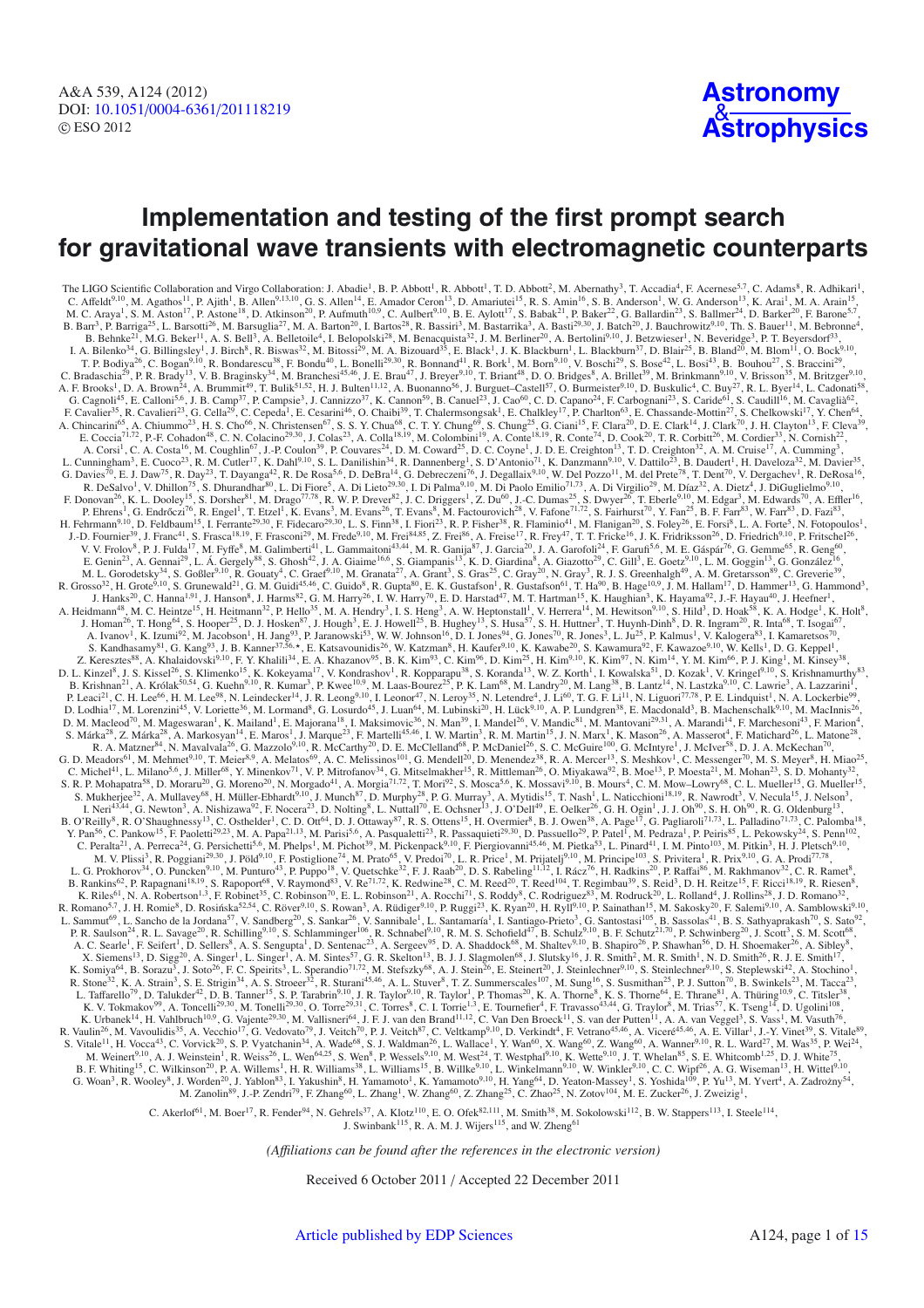## **Astronomy** & **[Astrophysics](http://www.aanda.org)**

# **Implementation and testing of the first prompt search for gravitational wave transients with electromagnetic counterparts**

The LIGO Scientific Collaboration and Virgo Collaboration: J. Abadie<sup>1</sup>, B. P. Abbott<sup>1</sup>, R. Abbott<sup>1</sup>, T. D. Abbott<sup>2</sup>, M. Abernathy<sup>3</sup>, T. Accadia<sup>4</sup>, F. Acernese<sup>5,7</sup>, C. Adams<sup>8</sup>, R. Adhikari<sup>1</sup>, C. Adams<sup>8</sup>, R. Adhika M. C. Araya<sup>1</sup>, S. M. Aston<sup>17</sup>, P. Astone<sup>18</sup>, D. Atkinson<sup>20</sup>, P. Aufmuth<sup>10,9</sup>, C. Aulbert<sup>9,10</sup>, B. E. Aylott<sup>17</sup>, S. Babak<sup>21</sup>, P. Baker<sup>22</sup>, G. Ballardin<sup>23</sup>, S. Ballmer<sup>24</sup>, D. Barker<sup>20</sup>, F. Barone<sup>57</sup>, B. Barr<sup>3</sup>, P. Barriga<sup>25</sup>, L. Barsotti<sup>26</sup>, M. Barsuglia<sup>27</sup>, M. A. Barton<sup>20</sup>, I. Bartos<sup>28</sup>, R. Bassiri<sup>3</sup>, M. Bastarrika<sup>3</sup>, A. Basti<sup>29,30</sup>, J. Batch<sup>20</sup>, J. Bauchrowitz<sup>9,10</sup>, Th. S. Bauer<sup>11</sup>, M. Bebronne<sup>4</sup>, B. Behnke<sup>21</sup>, M.G. Beker<sup>11</sup>, A. S. Bell<sup>3</sup>, A. Belletoile<sup>4</sup>, I. Belopolski<sup>28</sup>, M. Benacquista<sup>32</sup>, J. M. Berliner<sup>20</sup>, A. Bertolini<sup>9,10</sup>, J. Betzwieser<sup>1</sup>, N. Beveridge<sup>3</sup>, P. T. Beyersdorf<sup>33</sup>,<br>I. A. Bilenko<sup>34</sup>, G. C. Bradaschia<sup>29</sup>, P. R. Brady<sup>13</sup>, V. B. Braginsky<sup>34</sup>, M. Branchesi<sup>45,46</sup>, J. E. Brau<sup>47</sup>, J. Breyer<sup>9,10</sup>, T. Briant<sup>48</sup>, D. O. Bridges<sup>8</sup>, A. Brillet<sup>39</sup>, M. Brinkmann<sup>9,10</sup>, V. Brisson<sup>35</sup>, M. Britzger<sup>9,10</sup>, A. Bro G. Cagnoli<sup>45</sup>, E. Calloni<sup>5,6</sup>, J. B. Camp<sup>37</sup>, P. Campsie<sup>3</sup>, J. Cannizzo<sup>37</sup>, K. Cannon<sup>59</sup>, B. Canuel<sup>23</sup>, J. Cao<sup>60</sup>, C. D. Capano<sup>24</sup>, F. Carbognani<sup>23</sup>, S. Caride<sup>61</sup>, S. Caudill<sup>16</sup>, M. Cavaglià<sup>62</sup>,<br>F. Cavalier<sup>3</sup> E. Coccia<sup>71,72</sup>, P.-F. Cohadon<sup>48</sup>, C. N. Colacino<sup>29,30</sup>, J. Colas<sup>23</sup>, A. Colla<sup>18,19</sup>, M. Colombini<sup>19</sup>, A. Conte<sup>18,19</sup>, R. Conte<sup>17</sup>, D. Cook<sup>20</sup>, T. R. Corbitt<sup>26</sup>, M. Cordier<sup>33</sup>, N. Cornish<sup>22</sup>, A. Cornish<sup>22</sup>, A. L. Cunningham<sup>3</sup>, E. Cuoco<sup>23</sup>, R. M. Cutler<sup>17</sup>, K. Dahl<sup>9,10</sup>, S. L. Danilishin<sup>34</sup>, R. Dannenberg<sup>1</sup>, S. D'Antonio<sup>71</sup>, K. Danzmann<sup>9,10</sup>, V. Dattilo<sup>23</sup>, B. Daudert<sup>1</sup>, H. Daveloza<sup>32</sup>, M. Davier<sup>35</sup>, G. Davier<sup>35</sup>, G. R. DeSalvo<sup>1</sup>, V. Dhillon<sup>75</sup>, S. Dhurandhar<sup>80</sup>, L. Di Fiore<sup>5</sup>, A. Di Lieto<sup>29,30</sup>, I. Di Palma<sup>9,10</sup>, M. Di Paolo Emilio<sup>71,73</sup>, A. Di Virgilio<sup>29</sup>, M. Díaz<sup>32</sup>, A. Dietz<sup>4</sup>, J. DiGuglielmo<sup>9,10</sup>,<br>F. Donovan<sup>26</sup>, K. L. H. Fehrmann<sup>9,10</sup>, D. Feldbaum<sup>15</sup>, I. Ferrante<sup>29,30</sup>, F. Fidecaro<sup>29,30</sup>, L. S. Finn<sup>38</sup>, I. Fiori<sup>23</sup>, R. P. Fisher<sup>38</sup>, R. Flaminio<sup>41</sup>, M. Flanigan<sup>20</sup>, S. Foley<sup>26</sup>, E. Forsi<sup>8</sup>, L. A. Forte<sup>5</sup>, N. Fotopoulos<sup>1</sup>, J. V. V. Frolov<sup>8</sup>, P. J. Fulda<sup>17</sup>, M. Fyffe<sup>8</sup>, M. Galimberti<sup>41</sup>, L. Gammaitoni<sup>43,44</sup>, M. R. Ganija<sup>87</sup>, J. Garcia<sup>20</sup>, J. A. Garofoli<sup>24</sup>, F. Garufi<sup>5.6</sup>, M. E. Gáspár<sup>76</sup>, G. Gemme<sup>65</sup>, R. Geng<sup>60</sup>, E. Gengani, P. G. Ge R. Grosso<sup>32</sup>, H. Grote<sup>9,10</sup>, S. Grunewald<sup>21</sup>, G. M. Guidi<sup>45,46</sup>, C. Guido<sup>8</sup>, R. Gupta<sup>80</sup>, E. K. Gustafson<sup>1</sup>, R. Gustafson<sup>61</sup>, T. Ha<sup>90</sup>, B. Hage<sup>10,9</sup>, J. M. Hallam<sup>17</sup>, D. Hammer<sup>13</sup>, G. Hammer<sup>13</sup>, G. Hammond<sup>3</sup>, A. Heidmann<sup>48</sup>, M. C. Heintze<sup>15</sup>, H. Heitmann<sup>32</sup>, P. Hello<sup>35</sup>, M. A. Hendry<sup>3</sup>, I. S. Heng<sup>3</sup>, A. W. Heptonstall<sup>1</sup>, V. Herrera<sup>14</sup>, M. Hewitson<sup>9,10</sup>, S. Hild<sup>3</sup>, D. Hoak<sup>58</sup>, K. A. Hodge<sup>1</sup>, K. Holt<sup>8</sup>, J. Homan<sup>26</sup>, T. Hong<sup>64</sup>, S. Hooper<sup>25</sup>, D. J. Hosken<sup>87</sup>, J. Hough<sup>3</sup>, E. J. Howell<sup>25</sup>, B. Hughey<sup>13</sup>, S. Husa<sup>57</sup>, S. H. Huttner<sup>3</sup>, T. Huynh-Dinh<sup>8</sup>, D. R. Ingram<sup>20</sup>, R. Inta<sup>68</sup>, T. Isogai<sup>67</sup>, A. Ivanov<sup>1</sup>, K. Izumi<sup>92</sup>, M. Jacobson<sup>1</sup>, H. Jang<sup>93</sup>, P. Jaranowski<sup>53</sup>, W. W. Johnson<sup>16</sup>, D. I. Jones<sup>94</sup>, G. Jones<sup>70</sup>, R. Jones<sup>3</sup>, L. Ju<sup>25</sup>, P. Kalmus<sup>1</sup>, V. Kalogera<sup>83</sup>, I. Kamaretsos<sup>70</sup>,<br>S. Kandhasamy<sup>81</sup>, G. D. L. Kinzel<sup>8</sup>, J. S. Kissel<sup>26</sup>, S. Klimenko<sup>15</sup>, K. Kokeyama<sup>17</sup>, V. Kondrashov<sup>1</sup>, R. Kopparapu<sup>38</sup>, S. Koranda<sup>13</sup>, W. Z. Korth<sup>1</sup>, I. Kowalska<sup>51</sup>, D. Kozak<sup>1</sup>, V. Kringel<sup>9,10</sup>, S. Krishnamurthy<sup>83</sup>, B. Krishnamurth P. Leaci<sup>21</sup>, C. H. Lee<sup>66</sup>, H. M. Lee<sup>98</sup>, N. Leindecker<sup>14</sup>, J. R. Leong<sup>9,10</sup>, I. Leonor<sup>47</sup>, N. Leroy<sup>35</sup>, N. Letendre<sup>4</sup>, J. Li<sup>60</sup>, T. G. F. Li<sup>11</sup>, N. Liguori<sup>77,78</sup>, P. E. Lindquist<sup>1</sup>, N. A. Lockerbie<sup>99</sup>, D. Lodi S. Márka<sup>28</sup>, Z. Márka<sup>28</sup>, A. Markosyan<sup>14</sup>, E. Maros<sup>1</sup>, J. Marque<sup>23</sup>, F. Martelli<sup>45,46</sup>, I. W. Martin<sup>3</sup>, R. M. Martin<sup>15</sup>, J. N. Marx<sup>1</sup>, K. Massen<sup>26</sup>, A. Massent<sup>4</sup>, F. Matichard<sup>26</sup>, L. Matone<sup>28</sup>, A. Matzner<sup>84</sup>, G. D. Meadors<sup>61</sup>, M. Mehmet<sup>9,10</sup>, T. Meier<sup>8,9</sup>, A. Melatos<sup>69</sup>, A. C. Melissinos<sup>101</sup>, G. Mendell<sup>20</sup>, D. Menendez<sup>38</sup>, R. A. Mercer<sup>13</sup>, S. Meshkov<sup>1</sup>, C. Messenger<sup>70</sup>, M. S. Meyer<sup>8</sup>, H. Miao<sup>25</sup>, C. Michel<sup>41</sup>, L. M S. R. P. Mohapatra<sup>58</sup>, D. Moraru<sup>20</sup>, G. Moreno<sup>20</sup>, N. Morgado<sup>41</sup>, A. Morgia<sup>71,72</sup>, T. Mori<sup>92</sup>, S. Mosca<sup>5,6</sup>, K. Mossavi<sup>9,10</sup>, B. Mours<sup>4</sup>, C. M. Mow-Lowry<sup>68</sup>, C. L. Mueller<sup>15</sup>, G. Mueller<sup>15</sup>, G. Mueller<sup>15</sup>, G. B. O'Reilly<sup>8</sup>, R. O'Shaughnessy<sup>13</sup>, C. Osthelder<sup>1</sup>, C. D. Ott<sup>64</sup>, D. J. Ottaway<sup>87</sup>, R. S. Ottens<sup>15</sup>, H. Overmier<sup>8</sup>, B. J. Owen<sup>38</sup>, A. Page<sup>17</sup>, G. Pagliaroli<sup>71,73</sup>, L. Palladino<sup>71,73</sup>, C. Palomba<sup>18</sup>, Y. Papartic C. Peralta<sup>21</sup>, A. Perreca<sup>24</sup>, G. Persichetti<sup>5,6</sup>, M. Phelps<sup>1</sup>, M. Pichot<sup>39</sup>, M. Pickenpack<sup>9,10</sup>, F. Piergiovanni<sup>45,46</sup>, M. Pickta<sup>53</sup>, L. Pinard<sup>41</sup>, I. M. Pinto<sup>103</sup>, M. Pitkin<sup>3</sup>, H. J. Pletsch<sup>9,10</sup>, M. Pickenpa B. Rankins<sup>62</sup>, P. Rapagnani<sup>18,19</sup>, S. Rapoport<sup>68</sup>, V. Raymond<sup>83</sup>, V. Re<sup>71,72</sup>, K. Redwine<sup>28</sup>, C. M. Reed<sup>20</sup>, T. Reed<sup>104</sup>, T. Regimbau<sup>39</sup>, S. Reid<sup>3</sup>, D. H. Reitze<sup>15</sup>, F. Ricci<sup>18,19</sup>, R. Riesen<sup>8</sup>, K. Riesen<sup>8</sup>, R. Romano<sup>5,7</sup>, J. H. Romie<sup>8</sup>, D. Rosińska<sup>52,54</sup>, C. Röver<sup>9,10</sup>, S. Rowan<sup>3</sup>, A. Rüdiger<sup>9,10</sup>, P. Ruggi<sup>23</sup>, K. Ryan<sup>20</sup>, H. Ryll<sup>9,10</sup>, P. Sainathan<sup>15</sup>, M. Sakosky<sup>20</sup>, F. Salemi<sup>9,10</sup>, A. Samblowski<sup>9,10</sup>, L. Samcho P. R. Saulson<sup>24</sup>, R. L. Savage<sup>20</sup>, R. Schilling<sup>9,10</sup>, S. Schlamminger<sup>106</sup>, R. Schnabel<sup>9,10</sup>, R. M. S. Schofield<sup>47</sup>, B. Schulz<sup>9,10</sup>, B. F. Schutz<sup>21,70</sup>, P. Schwinberg<sup>20</sup>, J. Scott<sup>3</sup>, S. M. Scott<sup>68</sup>, A. S. Schilli K. Somiya<sup>64</sup>, B. Sorazu<sup>3</sup>, J. Soto<sup>26</sup>, F. C. Speirits<sup>3</sup>, L. Sperandio<sup>71,72</sup>, M. Stefszky<sup>68</sup>, A. J. Stein<sup>26</sup>, E. Steiner<sup>20</sup>, J. Steinlechner<sup>9,10</sup>, S. Steinlechner<sup>9,10</sup>, S. Steplewski<sup>42</sup>, A. Stochino<sup>1</sup>, R. Stochi L. Taffarello<sup>79</sup>, D. Talukder<sup>42</sup>, D. B. Tanner<sup>15</sup>, S. P. Tarabrin<sup>9,10</sup>, J. R. Taylor<sup>9,10</sup>, R. Taylor<sup>1</sup>, P. Thomas<sup>20</sup>, K. A. Thorne<sup>8</sup>, K. S. Thorne<sup>64</sup>, E. Thrane<sup>81</sup>, A. Thüring<sup>10,9</sup>, C. Titsler<sup>38</sup>, K. V. Tokmak R. Vaulin<sup>26</sup>, M. Vavoulidis<sup>35</sup>, A. Vecchio<sup>17</sup>, G. Vedovato<sup>79</sup>, J. Veitch<sup>70</sup>, P. J. Veitch<sup>87</sup>, C. Veltkamp<sup>9,10</sup>, D. Verkindt<sup>4</sup>, F. Vetrano<sup>45,46</sup>, A. Viceré<sup>45,46</sup>, A. E. Villar<sup>1</sup>, J.-Y. Vinet<sup>39</sup>, S. Vitale<sup>89</sup>, S M. Weinert<sup>9,10</sup>, A. J. Weinstein<sup>1</sup>, R. Weiss<sup>26</sup>, L. Wen<sup>64,25</sup>, S. Wen<sup>8</sup>, P. Wessels<sup>9,10</sup>, M. West<sup>24</sup>, T. Westphal<sup>9,10</sup>, K. Wette<sup>9,10</sup>, J. T. Whelan<sup>85</sup>, S. E. Whitcomb<sup>1,25</sup>, D. J. White<sup>75</sup>, B. F. Whitcomb<sup>1,25</sup>, G. Woan<sup>3</sup>, R. Wooley<sup>8</sup>, J. Worden<sup>20</sup>, J. Yablon<sup>83</sup>, I. Yakushin<sup>8</sup>, H. Yamamoto<sup>1</sup>, K. Yamamoto<sup>9,10</sup>, H. Yang<sup>64</sup>, D. Yeaton-Massey<sup>1</sup>, S. Yoshida<sup>109</sup>, P. Yu<sup>13</sup>, M. Yvert<sup>4</sup>, A. Zadrożny<sup>54</sup>, M. Zanolin<sup>89</sup>, J.-P. Z

C. Akerlof<sup>61</sup>, M. Boer<sup>17</sup>, R. Fender<sup>94</sup>, N. Gehrels<sup>37</sup>, A. Klotz<sup>110</sup>, E. O. Ofek<sup>82,111</sup>, M. Smith<sup>38</sup>, M. Sokolowski<sup>112</sup>, B. W. Stappers<sup>113</sup>, I. Steele<sup>114</sup>,

J. Swinbank<sup>115</sup>, R. A. M. J. Wijers<sup>115</sup>, and W. Zheng<sup>6</sup>

*(A*ffi*liations can be found after the references in the electronic version)*

Received 6 October 2011 / Accepted 22 December 2011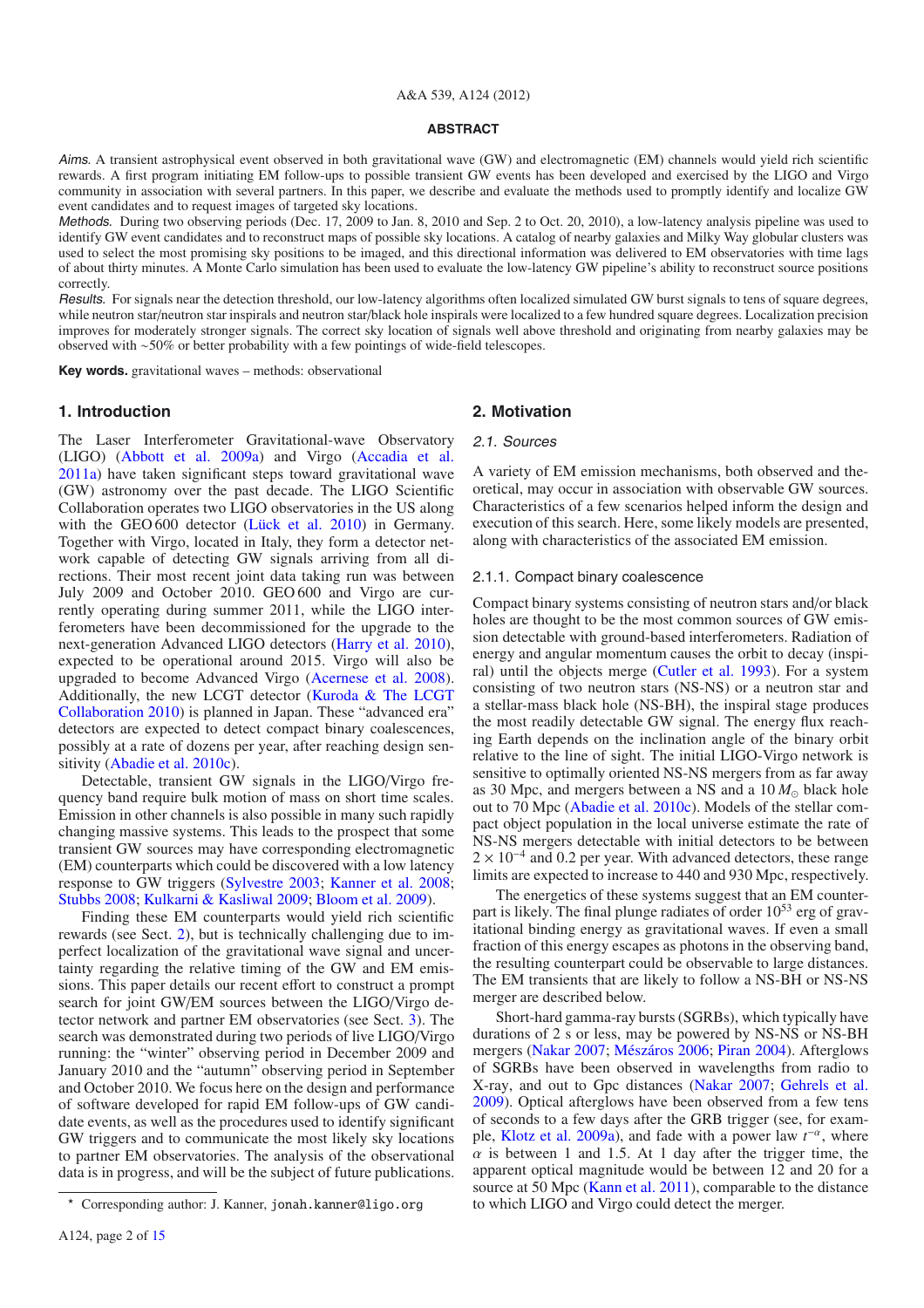## A&A 539, A124 (2012)

#### **ABSTRACT**

Aims. A transient astrophysical event observed in both gravitational wave (GW) and electromagnetic (EM) channels would yield rich scientific rewards. A first program initiating EM follow-ups to possible transient GW events has been developed and exercised by the LIGO and Virgo community in association with several partners. In this paper, we describe and evaluate the methods used to promptly identify and localize GW event candidates and to request images of targeted sky locations.

Methods. During two observing periods (Dec. 17, 2009 to Jan. 8, 2010 and Sep. 2 to Oct. 20, 2010), a low-latency analysis pipeline was used to identify GW event candidates and to reconstruct maps of possible sky locations. A catalog of nearby galaxies and Milky Way globular clusters was used to select the most promising sky positions to be imaged, and this directional information was delivered to EM observatories with time lags of about thirty minutes. A Monte Carlo simulation has been used to evaluate the low-latency GW pipeline's ability to reconstruct source positions correctly.

Results. For signals near the detection threshold, our low-latency algorithms often localized simulated GW burst signals to tens of square degrees, while neutron star/neutron star inspirals and neutron star/black hole inspirals were localized to a few hundred square degrees. Localization precision improves for moderately stronger signals. The correct sky location of signals well above threshold and originating from nearby galaxies may be observed with ∼50% or better probability with a few pointings of wide-field telescopes.

**Key words.** gravitational waves – methods: observational

### **1. Introduction**

The Laser Interferometer Gravitational-wave Observatory (LIGO) [\(Abbott et al. 2009a\)](#page-13-0) and Virgo [\(Accadia et al.](#page-13-1) [2011a](#page-13-1)) have taken significant steps toward gravitational wave (GW) astronomy over the past decade. The LIGO Scientific Collaboration operates two LIGO observatories in the US along with the GEO 600 detector [\(Lück et al. 2010\)](#page-13-2) in Germany. Together with Virgo, located in Italy, they form a detector network capable of detecting GW signals arriving from all directions. Their most recent joint data taking run was between July 2009 and October 2010. GEO 600 and Virgo are currently operating during summer 2011, while the LIGO interferometers have been decommissioned for the upgrade to the next-generation Advanced LIGO detectors [\(Harry et al. 2010\)](#page-13-3), expected to be operational around 2015. Virgo will also be upgraded to become Advanced Virgo [\(Acernese et al. 2008\)](#page-13-4). Additionally, [the new LCGT detector \(](#page-13-5)Kuroda & The LCGT Collaboration [2010\)](#page-13-5) is planned in Japan. These "advanced era" detectors are expected to detect compact binary coalescences, possibly at a rate of dozens per year, after reaching design sensitivity [\(Abadie et al. 2010c\)](#page-13-6).

Detectable, transient GW signals in the LIGO/Virgo frequency band require bulk motion of mass on short time scales. Emission in other channels is also possible in many such rapidly changing massive systems. This leads to the prospect that some transient GW sources may have corresponding electromagnetic (EM) counterparts which could be discovered with a low latency response to GW triggers [\(Sylvestre 2003](#page-13-7); [Kanner et al. 2008;](#page-13-8) [Stubbs 2008](#page-13-9); [Kulkarni & Kasliwal 2009](#page-13-10); [Bloom et al. 2009](#page-13-11)).

Finding these EM counterparts would yield rich scientific rewards (see Sect. [2\)](#page-1-0), but is technically challenging due to imperfect localization of the gravitational wave signal and uncertainty regarding the relative timing of the GW and EM emissions. This paper details our recent effort to construct a prompt search for joint GW/EM sources between the LIGO/Virgo detector network and partner EM observatories (see Sect. [3\)](#page-3-0). The search was demonstrated during two periods of live LIGO/Virgo running: the "winter" observing period in December 2009 and January 2010 and the "autumn" observing period in September and October 2010. We focus here on the design and performance of software developed for rapid EM follow-ups of GW candidate events, as well as the procedures used to identify significant GW triggers and to communicate the most likely sky locations to partner EM observatories. The analysis of the observational data is in progress, and will be the subject of future publications.

## <span id="page-1-0"></span>**2. Motivation**

#### 2.1. Sources

A variety of EM emission mechanisms, both observed and theoretical, may occur in association with observable GW sources. Characteristics of a few scenarios helped inform the design and execution of this search. Here, some likely models are presented, along with characteristics of the associated EM emission.

#### 2.1.1. Compact binary coalescence

Compact binary systems consisting of neutron stars and/or black holes are thought to be the most common sources of GW emission detectable with ground-based interferometers. Radiation of energy and angular momentum causes the orbit to decay (inspiral) until the objects merge [\(Cutler et al. 1993\)](#page-13-12). For a system consisting of two neutron stars (NS-NS) or a neutron star and a stellar-mass black hole (NS-BH), the inspiral stage produces the most readily detectable GW signal. The energy flux reaching Earth depends on the inclination angle of the binary orbit relative to the line of sight. The initial LIGO-Virgo network is sensitive to optimally oriented NS-NS mergers from as far away as 30 Mpc, and mergers between a NS and a  $10 M_{\odot}$  black hole out to 70 Mpc [\(Abadie et al. 2010c](#page-13-6)). Models of the stellar compact object population in the local universe estimate the rate of NS-NS mergers detectable with initial detectors to be between  $2 \times 10^{-4}$  and 0.2 per year. With advanced detectors, these range limits are expected to increase to 440 and 930 Mpc, respectively.

The energetics of these systems suggest that an EM counterpart is likely. The final plunge radiates of order  $10^{53}$  erg of gravitational binding energy as gravitational waves. If even a small fraction of this energy escapes as photons in the observing band, the resulting counterpart could be observable to large distances. The EM transients that are likely to follow a NS-BH or NS-NS merger are described below.

Short-hard gamma-ray bursts (SGRBs), which typically have durations of 2 s or less, may be powered by NS-NS or NS-BH mergers [\(Nakar 2007](#page-13-13); [Mészáros 2006;](#page-13-14) [Piran 2004](#page-13-15)). Afterglows of SGRBs have been observed in wavelengths from radio to X-ray, and out to Gpc distances [\(Nakar 2007;](#page-13-13) [Gehrels et al.](#page-13-16) [2009\)](#page-13-16). Optical afterglows have been observed from a few tens of seconds to a few days after the GRB trigger (see, for exam-ple, [Klotz et al. 2009a\)](#page-13-17), and fade with a power law  $t^{-\alpha}$ , where  $\alpha$  is between 1 and 1.5. At 1 day after the trigger time, the apparent optical magnitude would be between 12 and 20 for a source at 50 Mpc [\(Kann et al. 2011\)](#page-13-18), comparable to the distance to which LIGO and Virgo could detect the merger.

<sup>-</sup> Corresponding author: J. Kanner, jonah.kanner@ligo.org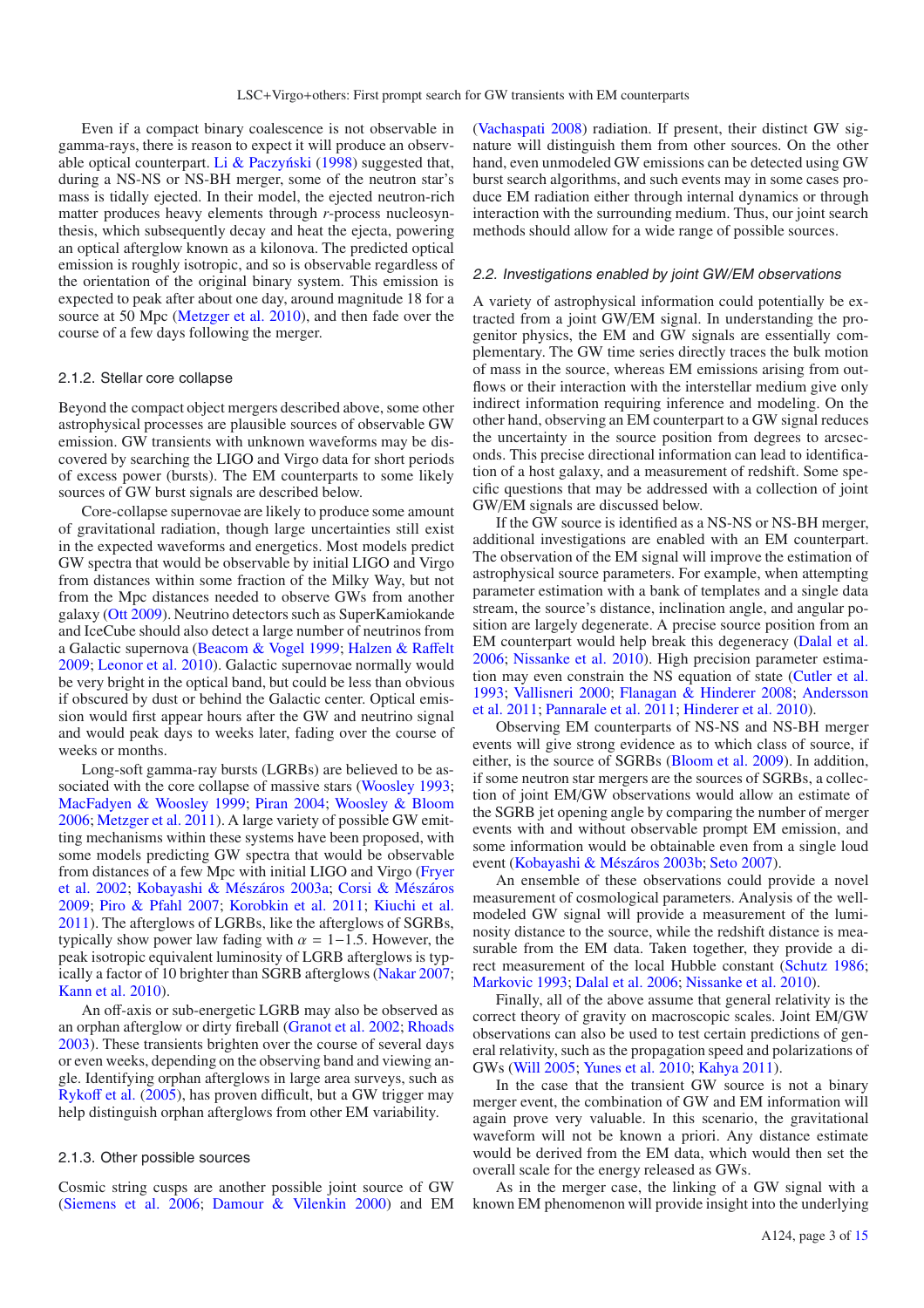Even if a compact binary coalescence is not observable in gamma-rays, there is reason to expect it will produce an observable optical counterpart. Li  $&$  Paczyński [\(1998\)](#page-13-19) suggested that, during a NS-NS or NS-BH merger, some of the neutron star's mass is tidally ejected. In their model, the ejected neutron-rich matter produces heavy elements through *r*-process nucleosynthesis, which subsequently decay and heat the ejecta, powering an optical afterglow known as a kilonova. The predicted optical emission is roughly isotropic, and so is observable regardless of the orientation of the original binary system. This emission is expected to peak after about one day, around magnitude 18 for a source at 50 Mpc [\(Metzger et al. 2010\)](#page-13-20), and then fade over the course of a few days following the merger.

#### 2.1.2. Stellar core collapse

Beyond the compact object mergers described above, some other astrophysical processes are plausible sources of observable GW emission. GW transients with unknown waveforms may be discovered by searching the LIGO and Virgo data for short periods of excess power (bursts). The EM counterparts to some likely sources of GW burst signals are described below.

Core-collapse supernovae are likely to produce some amount of gravitational radiation, though large uncertainties still exist in the expected waveforms and energetics. Most models predict GW spectra that would be observable by initial LIGO and Virgo from distances within some fraction of the Milky Way, but not from the Mpc distances needed to observe GWs from another galaxy [\(Ott 2009\)](#page-13-21). Neutrino detectors such as SuperKamiokande and IceCube should also detect a large number of neutrinos from a Galactic supernova [\(Beacom & Vogel 1999;](#page-13-22) [Halzen & Ra](#page-13-23)ffelt [2009;](#page-13-23) [Leonor et al. 2010](#page-13-24)). Galactic supernovae normally would be very bright in the optical band, but could be less than obvious if obscured by dust or behind the Galactic center. Optical emission would first appear hours after the GW and neutrino signal and would peak days to weeks later, fading over the course of weeks or months.

Long-soft gamma-ray bursts (LGRBs) are believed to be as-sociated with the core collapse of massive stars [\(Woosley 1993;](#page-13-25) [MacFadyen & Woosley 1999](#page-13-26); [Piran 2004](#page-13-15); [Woosley & Bloom](#page-13-27) [2006;](#page-13-27) [Metzger et al. 2011](#page-13-28)). A large variety of possible GW emitting mechanisms within these systems have been proposed, with some models predicting GW spectra that would be observable from [distances of a few Mpc with initial LIGO and Virgo \(](#page-13-29)Fryer et al. [2002;](#page-13-29) [Kobayashi & Mészáros 2003a;](#page-13-30) [Corsi & Mészáros](#page-13-31) [2009;](#page-13-31) [Piro & Pfahl 2007](#page-13-32); [Korobkin et al. 2011](#page-13-33); [Kiuchi et al.](#page-13-34) [2011\)](#page-13-34). The afterglows of LGRBs, like the afterglows of SGRBs, typically show power law fading with  $\alpha = 1-1.5$ . However, the peak isotropic equivalent luminosity of LGRB afterglows is typically a factor of 10 brighter than SGRB afterglows [\(Nakar 2007;](#page-13-13) [Kann et al. 2010\)](#page-13-35).

An off-axis or sub-energetic LGRB may also be observed as an orphan afterglow or dirty fireball [\(Granot et al. 2002;](#page-13-36) [Rhoads](#page-13-37) [2003\)](#page-13-37). These transients brighten over the course of several days or even weeks, depending on the observing band and viewing angle. Identifying orphan afterglows in large area surveys, such as [Ryko](#page-13-38)ff et al. [\(2005\)](#page-13-38), has proven difficult, but a GW trigger may help distinguish orphan afterglows from other EM variability.

#### 2.1.3. Other possible sources

Cosmic string cusps are another possible joint source of GW [\(Siemens et al. 2006;](#page-13-39) [Damour & Vilenkin 2000\)](#page-13-40) and EM [\(Vachaspati 2008\)](#page-13-41) radiation. If present, their distinct GW signature will distinguish them from other sources. On the other hand, even unmodeled GW emissions can be detected using GW burst search algorithms, and such events may in some cases produce EM radiation either through internal dynamics or through interaction with the surrounding medium. Thus, our joint search methods should allow for a wide range of possible sources.

#### 2.2. Investigations enabled by joint GW/EM observations

A variety of astrophysical information could potentially be extracted from a joint GW/EM signal. In understanding the progenitor physics, the EM and GW signals are essentially complementary. The GW time series directly traces the bulk motion of mass in the source, whereas EM emissions arising from outflows or their interaction with the interstellar medium give only indirect information requiring inference and modeling. On the other hand, observing an EM counterpart to a GW signal reduces the uncertainty in the source position from degrees to arcseconds. This precise directional information can lead to identification of a host galaxy, and a measurement of redshift. Some specific questions that may be addressed with a collection of joint GW/EM signals are discussed below.

If the GW source is identified as a NS-NS or NS-BH merger, additional investigations are enabled with an EM counterpart. The observation of the EM signal will improve the estimation of astrophysical source parameters. For example, when attempting parameter estimation with a bank of templates and a single data stream, the source's distance, inclination angle, and angular position are largely degenerate. A precise source position from an EM counterpart would help break this degeneracy [\(Dalal et al.](#page-13-42) [2006;](#page-13-42) [Nissanke et al. 2010](#page-13-43)). High precision parameter estimation may even constrain the NS equation of state [\(Cutler et al.](#page-13-12) [1993;](#page-13-12) [Vallisneri 2000;](#page-13-44) [Flanagan & Hinderer 2008](#page-13-45)[;](#page-13-46) Andersson et al. [2011](#page-13-46); [Pannarale et al. 2011](#page-13-47); [Hinderer et al. 2010](#page-13-48)).

Observing EM counterparts of NS-NS and NS-BH merger events will give strong evidence as to which class of source, if either, is the source of SGRBs [\(Bloom et al. 2009\)](#page-13-11). In addition, if some neutron star mergers are the sources of SGRBs, a collection of joint EM/GW observations would allow an estimate of the SGRB jet opening angle by comparing the number of merger events with and without observable prompt EM emission, and some information would be obtainable even from a single loud event [\(Kobayashi & Mészáros 2003b](#page-13-49); [Seto 2007\)](#page-13-50).

An ensemble of these observations could provide a novel measurement of cosmological parameters. Analysis of the wellmodeled GW signal will provide a measurement of the luminosity distance to the source, while the redshift distance is measurable from the EM data. Taken together, they provide a direct measurement of the local Hubble constant [\(Schutz 1986;](#page-13-51) [Markovic 1993;](#page-13-52) [Dalal et al. 2006;](#page-13-42) [Nissanke et al. 2010\)](#page-13-43).

Finally, all of the above assume that general relativity is the correct theory of gravity on macroscopic scales. Joint EM/GW observations can also be used to test certain predictions of general relativity, such as the propagation speed and polarizations of GWs [\(Will 2005;](#page-13-53) [Yunes et al. 2010;](#page-13-54) [Kahya 2011](#page-13-55)).

In the case that the transient GW source is not a binary merger event, the combination of GW and EM information will again prove very valuable. In this scenario, the gravitational waveform will not be known a priori. Any distance estimate would be derived from the EM data, which would then set the overall scale for the energy released as GWs.

As in the merger case, the linking of a GW signal with a known EM phenomenon will provide insight into the underlying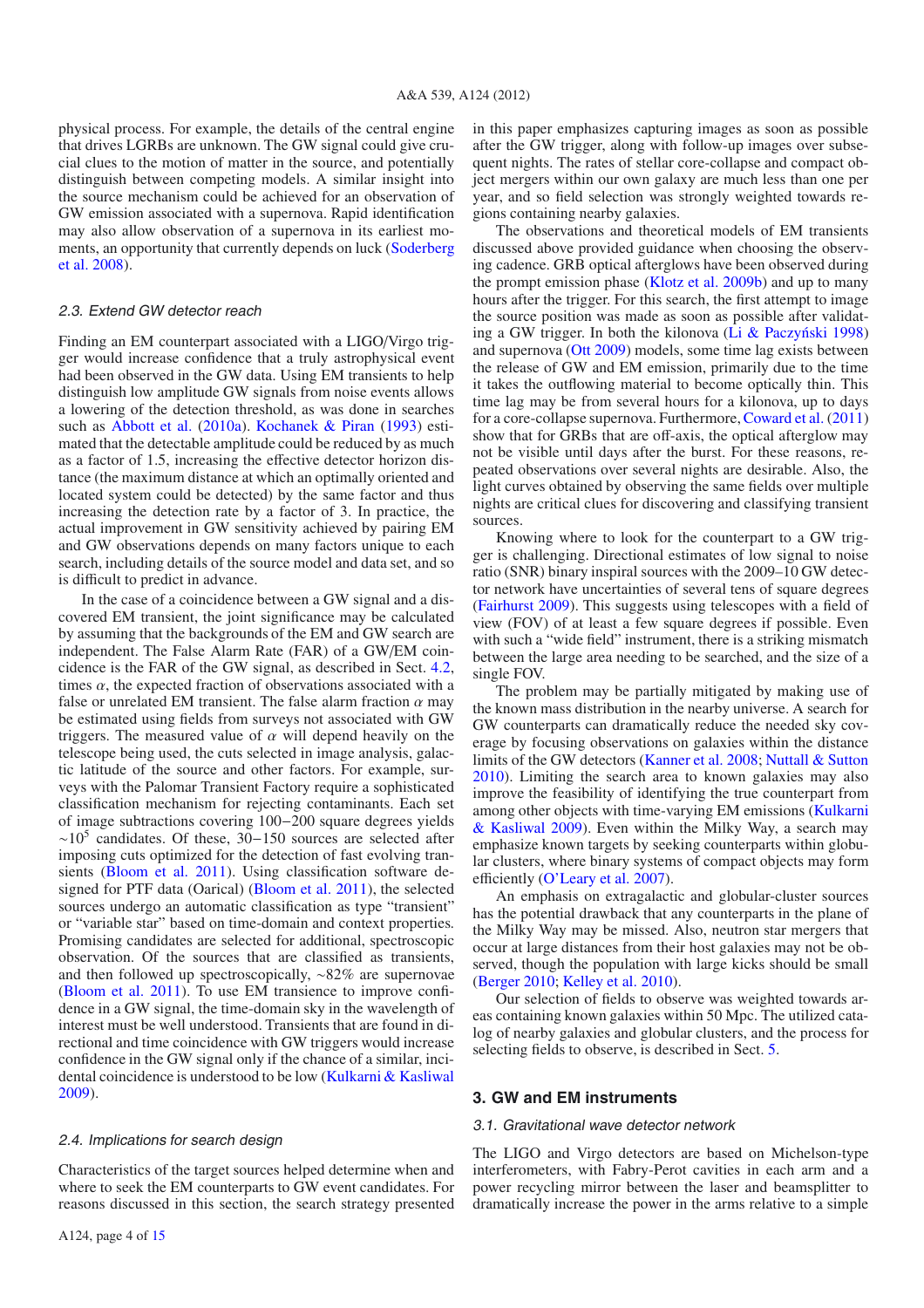physical process. For example, the details of the central engine that drives LGRBs are unknown. The GW signal could give crucial clues to the motion of matter in the source, and potentially distinguish between competing models. A similar insight into the source mechanism could be achieved for an observation of GW emission associated with a supernova. Rapid identification may also allow observation of a supernova in its earliest momen[ts, an opportunity that currently depends on luck \(](#page-13-56)Soderberg et al. [2008\)](#page-13-56).

## 2.3. Extend GW detector reach

Finding an EM counterpart associated with a LIGO/Virgo trigger would increase confidence that a truly astrophysical event had been observed in the GW data. Using EM transients to help distinguish low amplitude GW signals from noise events allows a lowering of the detection threshold, as was done in searches such as [Abbott et al.](#page-13-57) [\(2010a\)](#page-13-57). [Kochanek & Piran](#page-13-58) [\(1993\)](#page-13-58) estimated that the detectable amplitude could be reduced by as much as a factor of 1.5, increasing the effective detector horizon distance (the maximum distance at which an optimally oriented and located system could be detected) by the same factor and thus increasing the detection rate by a factor of 3. In practice, the actual improvement in GW sensitivity achieved by pairing EM and GW observations depends on many factors unique to each search, including details of the source model and data set, and so is difficult to predict in advance.

In the case of a coincidence between a GW signal and a discovered EM transient, the joint significance may be calculated by assuming that the backgrounds of the EM and GW search are independent. The False Alarm Rate (FAR) of a GW/EM coincidence is the FAR of the GW signal, as described in Sect. [4.2,](#page-6-0) times  $\alpha$ , the expected fraction of observations associated with a false or unrelated EM transient. The false alarm fraction  $\alpha$  may be estimated using fields from surveys not associated with GW triggers. The measured value of  $\alpha$  will depend heavily on the telescope being used, the cuts selected in image analysis, galactic latitude of the source and other factors. For example, surveys with the Palomar Transient Factory require a sophisticated classification mechanism for rejecting contaminants. Each set of image subtractions covering 100−200 square degrees yields  $~\sim$ 10<sup>5</sup> candidates. Of these, 30–150 sources are selected after imposing cuts optimized for the detection of fast evolving transients [\(Bloom et al. 2011](#page-13-59)). Using classification software designed for PTF data (Oarical) [\(Bloom et al. 2011\)](#page-13-59), the selected sources undergo an automatic classification as type "transient" or "variable star" based on time-domain and context properties. Promising candidates are selected for additional, spectroscopic observation. Of the sources that are classified as transients, and then followed up spectroscopically, ∼82% are supernovae [\(Bloom et al. 2011\)](#page-13-59). To use EM transience to improve confidence in a GW signal, the time-domain sky in the wavelength of interest must be well understood. Transients that are found in directional and time coincidence with GW triggers would increase confidence in the GW signal only if the chance of a similar, incidental coincidence is understood to be low [\(Kulkarni & Kasliwal](#page-13-10) [2009\)](#page-13-10).

#### 2.4. Implications for search design

Characteristics of the target sources helped determine when and where to seek the EM counterparts to GW event candidates. For reasons discussed in this section, the search strategy presented in this paper emphasizes capturing images as soon as possible after the GW trigger, along with follow-up images over subsequent nights. The rates of stellar core-collapse and compact object mergers within our own galaxy are much less than one per year, and so field selection was strongly weighted towards regions containing nearby galaxies.

The observations and theoretical models of EM transients discussed above provided guidance when choosing the observing cadence. GRB optical afterglows have been observed during the prompt emission phase [\(Klotz et al. 2009b\)](#page-13-60) and up to many hours after the trigger. For this search, the first attempt to image the source position was made as soon as possible after validating a GW trigger. In both the kilonova (Li  $&$  Paczyński 1998) and supernova [\(Ott 2009](#page-13-21)) models, some time lag exists between the release of GW and EM emission, primarily due to the time it takes the outflowing material to become optically thin. This time lag may be from several hours for a kilonova, up to days for a core-collapse supernova. Furthermore,[Coward et al.](#page-13-61) [\(2011](#page-13-61)) show that for GRBs that are off-axis, the optical afterglow may not be visible until days after the burst. For these reasons, repeated observations over several nights are desirable. Also, the light curves obtained by observing the same fields over multiple nights are critical clues for discovering and classifying transient sources.

Knowing where to look for the counterpart to a GW trigger is challenging. Directional estimates of low signal to noise ratio (SNR) binary inspiral sources with the 2009–10 GW detector network have uncertainties of several tens of square degrees [\(Fairhurst 2009\)](#page-13-62). This suggests using telescopes with a field of view (FOV) of at least a few square degrees if possible. Even with such a "wide field" instrument, there is a striking mismatch between the large area needing to be searched, and the size of a single FOV.

The problem may be partially mitigated by making use of the known mass distribution in the nearby universe. A search for GW counterparts can dramatically reduce the needed sky coverage by focusing observations on galaxies within the distance limits of the GW detectors [\(Kanner et al. 2008](#page-13-8); [Nuttall & Sutton](#page-13-63) [2010\)](#page-13-63). Limiting the search area to known galaxies may also improve the feasibility of identifying the true counterpart from among oth[er objects with time-varying EM emissions \(](#page-13-10)Kulkarni & Kasliwal [2009](#page-13-10)). Even within the Milky Way, a search may emphasize known targets by seeking counterparts within globular clusters, where binary systems of compact objects may form efficiently [\(O'Leary et al. 2007](#page-13-64)).

An emphasis on extragalactic and globular-cluster sources has the potential drawback that any counterparts in the plane of the Milky Way may be missed. Also, neutron star mergers that occur at large distances from their host galaxies may not be observed, though the population with large kicks should be small [\(Berger 2010](#page-13-65); [Kelley et al. 2010](#page-13-66)).

Our selection of fields to observe was weighted towards areas containing known galaxies within 50 Mpc. The utilized catalog of nearby galaxies and globular clusters, and the process for selecting fields to observe, is described in Sect. [5.](#page-7-0)

#### <span id="page-3-0"></span>**3. GW and EM instruments**

#### 3.1. Gravitational wave detector network

The LIGO and Virgo detectors are based on Michelson-type interferometers, with Fabry-Perot cavities in each arm and a power recycling mirror between the laser and beamsplitter to dramatically increase the power in the arms relative to a simple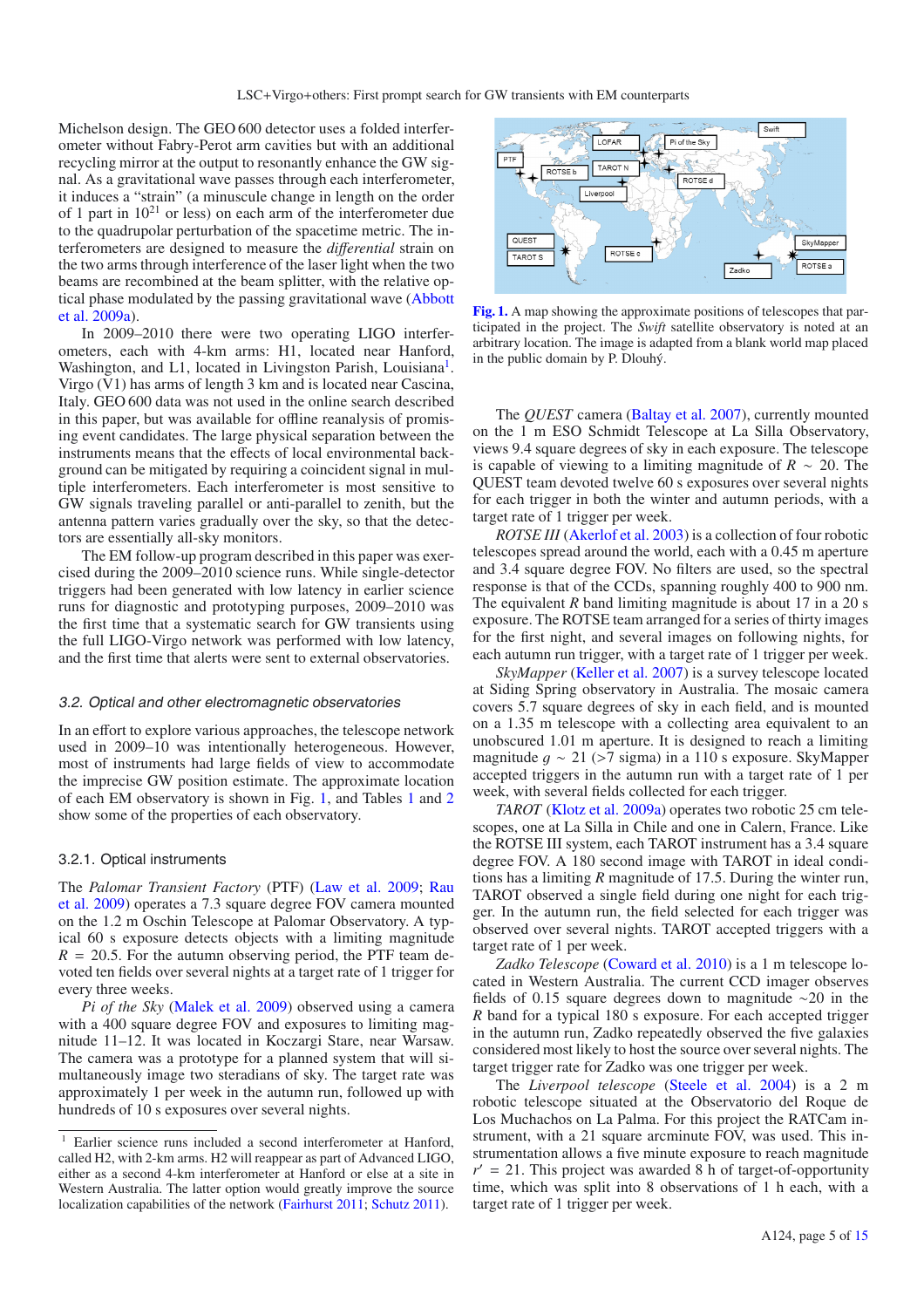Michelson design. The GEO 600 detector uses a folded interferometer without Fabry-Perot arm cavities but with an additional recycling mirror at the output to resonantly enhance the GW signal. As a gravitational wave passes through each interferometer, it induces a "strain" (a minuscule change in length on the order of 1 part in  $10^{21}$  or less) on each arm of the interferometer due to the quadrupolar perturbation of the spacetime metric. The interferometers are designed to measure the *di*ff*erential* strain on the two arms through interference of the laser light when the two beams are recombined at the beam splitter, with the relative optical [phase](#page-13-0) [modulated](#page-13-0) [by](#page-13-0) [the](#page-13-0) [passing](#page-13-0) [gravitational](#page-13-0) [wave](#page-13-0) [\(](#page-13-0)Abbott et al. [2009a](#page-13-0)).

In 2009–2010 there were two operating LIGO interferometers, each with 4-km arms: H1, located near Hanford, Washington, and L1, located in Livingston Parish, Louisiana<sup>1</sup>. Virgo (V1) has arms of length 3 km and is located near Cascina, Italy. GEO 600 data was not used in the online search described in this paper, but was available for offline reanalysis of promising event candidates. The large physical separation between the instruments means that the effects of local environmental background can be mitigated by requiring a coincident signal in multiple interferometers. Each interferometer is most sensitive to GW signals traveling parallel or anti-parallel to zenith, but the antenna pattern varies gradually over the sky, so that the detectors are essentially all-sky monitors.

The EM follow-up program described in this paper was exercised during the 2009–2010 science runs. While single-detector triggers had been generated with low latency in earlier science runs for diagnostic and prototyping purposes, 2009–2010 was the first time that a systematic search for GW transients using the full LIGO-Virgo network was performed with low latency, and the first time that alerts were sent to external observatories.

#### 3.2. Optical and other electromagnetic observatories

In an effort to explore various approaches, the telescope network used in 2009–10 was intentionally heterogeneous. However, most of instruments had large fields of view to accommodate the imprecise GW position estimate. The approximate location of each EM observatory is shown in Fig. [1,](#page-4-0) and Tables [1](#page-5-0) and [2](#page-5-1) show some of the properties of each observatory.

#### 3.2.1. Optical instruments

The *[Palomar Transient Factory](#page-13-68)* (PTF) [\(Law et al. 2009;](#page-13-67) Rau et al. [2009\)](#page-13-68) operates a 7.3 square degree FOV camera mounted on the 1.2 m Oschin Telescope at Palomar Observatory. A typical 60 s exposure detects objects with a limiting magnitude  $R = 20.5$ . For the autumn observing period, the PTF team devoted ten fields over several nights at a target rate of 1 trigger for every three weeks.

*Pi of the Sky* [\(Malek et al. 2009](#page-13-69)) observed using a camera with a 400 square degree FOV and exposures to limiting magnitude 11–12. It was located in Koczargi Stare, near Warsaw. The camera was a prototype for a planned system that will simultaneously image two steradians of sky. The target rate was approximately 1 per week in the autumn run, followed up with hundreds of 10 s exposures over several nights.

<span id="page-4-0"></span>

**[Fig. 1.](http://dexter.edpsciences.org/applet.php?DOI=10.1051/0004-6361/201118219&pdf_id=1)** A map showing the approximate positions of telescopes that participated in the project. The *Swift* satellite observatory is noted at an arbitrary location. The image is adapted from a blank world map placed in the public domain by P. Dlouhý.

The *QUEST* camera [\(Baltay et al. 2007](#page-13-72)), currently mounted on the 1 m ESO Schmidt Telescope at La Silla Observatory, views 9.4 square degrees of sky in each exposure. The telescope is capable of viewing to a limiting magnitude of *R* ∼ 20. The QUEST team devoted twelve 60 s exposures over several nights for each trigger in both the winter and autumn periods, with a target rate of 1 trigger per week.

*ROTSE III* [\(Akerlof et al. 2003](#page-13-73)) is a collection of four robotic telescopes spread around the world, each with a 0.45 m aperture and 3.4 square degree FOV. No filters are used, so the spectral response is that of the CCDs, spanning roughly 400 to 900 nm. The equivalent *R* band limiting magnitude is about 17 in a 20 s exposure. The ROTSE team arranged for a series of thirty images for the first night, and several images on following nights, for each autumn run trigger, with a target rate of 1 trigger per week.

*SkyMapper* [\(Keller et al. 2007](#page-13-74)) is a survey telescope located at Siding Spring observatory in Australia. The mosaic camera covers 5.7 square degrees of sky in each field, and is mounted on a 1.35 m telescope with a collecting area equivalent to an unobscured 1.01 m aperture. It is designed to reach a limiting magnitude  $q \sim 21$  (>7 sigma) in a 110 s exposure. SkyMapper accepted triggers in the autumn run with a target rate of 1 per week, with several fields collected for each trigger.

*TAROT* [\(Klotz et al. 2009a\)](#page-13-17) operates two robotic 25 cm telescopes, one at La Silla in Chile and one in Calern, France. Like the ROTSE III system, each TAROT instrument has a 3.4 square degree FOV. A 180 second image with TAROT in ideal conditions has a limiting *<sup>R</sup>* magnitude of 17.5. During the winter run, TAROT observed a single field during one night for each trigger. In the autumn run, the field selected for each trigger was observed over several nights. TAROT accepted triggers with a target rate of 1 per week.

*Zadko Telescope* [\(Coward et al. 2010](#page-13-75)) is a 1 m telescope located in Western Australia. The current CCD imager observes fields of 0.15 square degrees down to magnitude ∼20 in the *R* band for a typical 180 s exposure. For each accepted trigger in the autumn run, Zadko repeatedly observed the five galaxies considered most likely to host the source over several nights. The target trigger rate for Zadko was one trigger per week.

The *Liverpool telescope* [\(Steele et al. 2004\)](#page-13-76) is a 2 m robotic telescope situated at the Observatorio del Roque de Los Muchachos on La Palma. For this project the RATCam instrument, with a 21 square arcminute FOV, was used. This instrumentation allows a five minute exposure to reach magnitude  $r' = 21$ . This project was awarded 8 h of target-of-opportunity time, which was split into 8 observations of 1 h each, with a target rate of 1 trigger per week.

<sup>&</sup>lt;sup>1</sup> Earlier science runs included a second interferometer at Hanford, called H2, with 2-km arms. H2 will reappear as part of Advanced LIGO, either as a second 4-km interferometer at Hanford or else at a site in Western Australia. The latter option would greatly improve the source localization capabilities of the network [\(Fairhurst 2011](#page-13-70); [Schutz 2011\)](#page-13-71).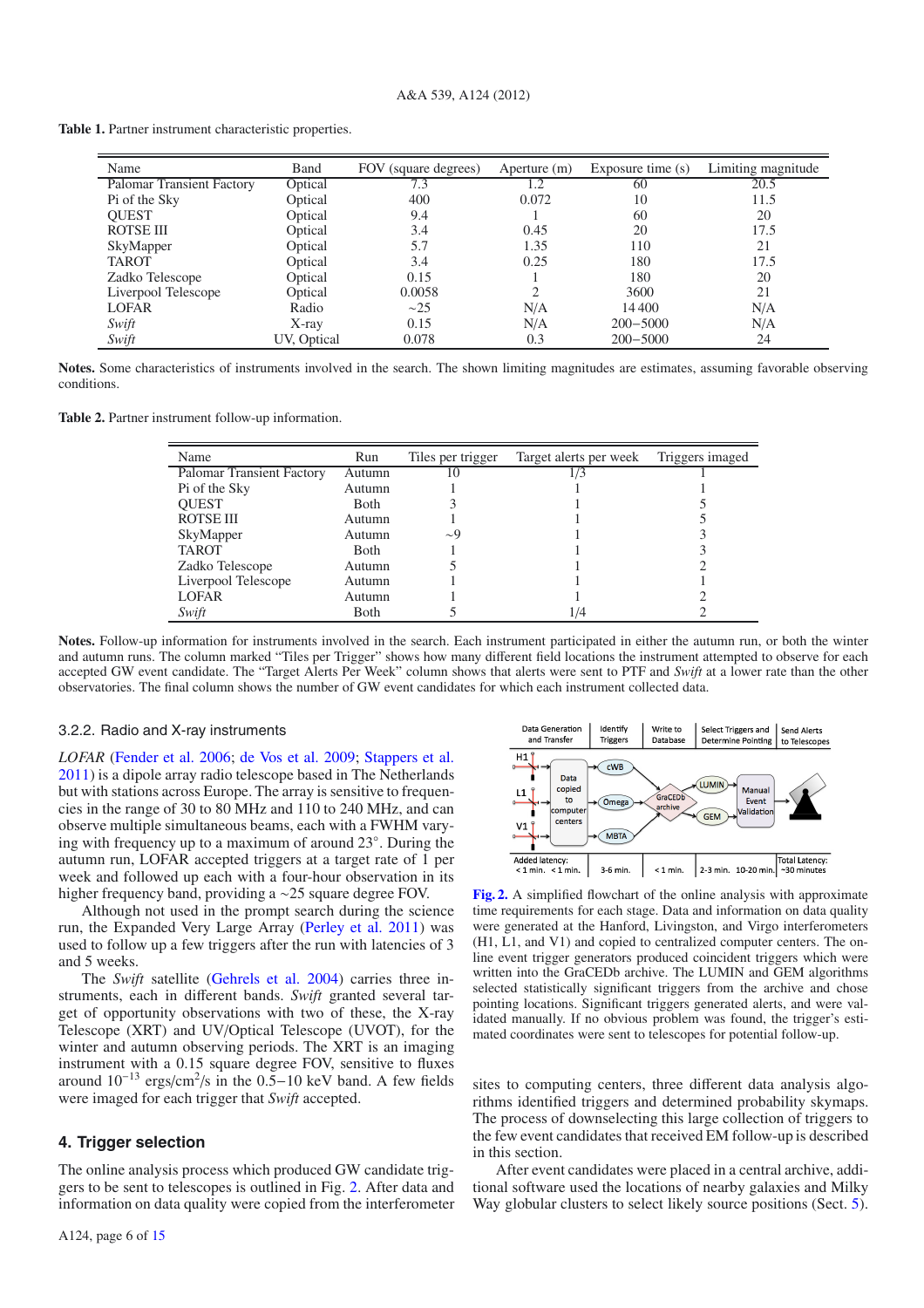<span id="page-5-1"></span><span id="page-5-0"></span>**Table 1.** Partner instrument characteristic properties.

| Name                             | Band        | FOV (square degrees) | Aperture (m) | Exposure time (s) | Limiting magnitude |
|----------------------------------|-------------|----------------------|--------------|-------------------|--------------------|
| <b>Palomar Transient Factory</b> | Optical     | 7.3                  |              | 60                | 20.5               |
| Pi of the Sky                    | Optical     | 400                  | 0.072        | 10                | 11.5               |
| <b>OUEST</b>                     | Optical     | 9.4                  |              | 60                | 20                 |
| <b>ROTSE III</b>                 | Optical     | 3.4                  | 0.45         | 20                | 17.5               |
| SkyMapper                        | Optical     | 5.7                  | 1.35         | 110               | 21                 |
| <b>TAROT</b>                     | Optical     | 3.4                  | 0.25         | 180               | 17.5               |
| Zadko Telescope                  | Optical     | 0.15                 |              | 180               | 20                 |
| Liverpool Telescope              | Optical     | 0.0058               | ◠            | 3600              | 21                 |
| <b>LOFAR</b>                     | Radio       | $\sim$ 25            | N/A          | 14 400            | N/A                |
| Swift                            | $X$ -ray    | 0.15                 | N/A          | $200 - 5000$      | N/A                |
| Swift                            | UV, Optical | 0.078                | 0.3          | $200 - 5000$      | 24                 |

**Notes.** Some characteristics of instruments involved in the search. The shown limiting magnitudes are estimates, assuming favorable observing conditions.

**Table 2.** Partner instrument follow-up information.

| Name                      | Run          | Tiles per trigger | Target alerts per week | Triggers imaged |
|---------------------------|--------------|-------------------|------------------------|-----------------|
| Palomar Transient Factory | Autumn       |                   |                        |                 |
| Pi of the Sky             | Autumn       |                   |                        |                 |
| <b>OUEST</b>              | <b>B</b> oth |                   |                        |                 |
| <b>ROTSE III</b>          | Autumn       |                   |                        |                 |
| SkyMapper                 | Autumn       | $\sim$ 9          |                        |                 |
| <b>TAROT</b>              | Both         |                   |                        |                 |
| Zadko Telescope           | Autumn       |                   |                        |                 |
| Liverpool Telescope       | Autumn       |                   |                        |                 |
| <b>LOFAR</b>              | Autumn       |                   |                        |                 |
| Swift                     | Both         |                   | 1/4                    |                 |

**Notes.** Follow-up information for instruments involved in the search. Each instrument participated in either the autumn run, or both the winter and autumn runs. The column marked "Tiles per Trigger" shows how many different field locations the instrument attempted to observe for each accepted GW event candidate. The "Target Alerts Per Week" column shows that alerts were sent to PTF and *Swift* at a lower rate than the other observatories. The final column shows the number of GW event candidates for which each instrument collected data.

#### 3.2.2. Radio and X-ray instruments

*LOFAR* [\(Fender et al. 2006;](#page-13-77) [de Vos et al. 2009;](#page-13-78) [Stappers et al.](#page-13-79) [2011\)](#page-13-79) is a dipole array radio telescope based in The Netherlands but with stations across Europe. The array is sensitive to frequencies in the range of 30 to 80 MHz and 110 to 240 MHz, and can observe multiple simultaneous beams, each with a FWHM varying with frequency up to a maximum of around 23◦. During the autumn run, LOFAR accepted triggers at a target rate of 1 per week and followed up each with a four-hour observation in its higher frequency band, providing a ∼25 square degree FOV.

Although not used in the prompt search during the science run, the Expanded Very Large Array [\(Perley et al. 2011](#page-13-80)) was used to follow up a few triggers after the run with latencies of 3 and 5 weeks.

The *Swift* satellite [\(Gehrels et al. 2004](#page-13-81)) carries three instruments, each in different bands. *Swift* granted several target of opportunity observations with two of these, the X-ray Telescope (XRT) and UV/Optical Telescope (UVOT), for the winter and autumn observing periods. The XRT is an imaging instrument with a 0.15 square degree FOV, sensitive to fluxes around  $10^{-13}$  ergs/cm<sup>2</sup>/s in the  $0.5-10$  keV band. A few fields were imaged for each trigger that *Swift* accepted.

## **4. Trigger selection**

The online analysis process which produced GW candidate triggers to be sent to telescopes is outlined in Fig. [2.](#page-5-2) After data and information on data quality were copied from the interferometer

<span id="page-5-2"></span>

**[Fig. 2.](http://dexter.edpsciences.org/applet.php?DOI=10.1051/0004-6361/201118219&pdf_id=2)** A simplified flowchart of the online analysis with approximate time requirements for each stage. Data and information on data quality were generated at the Hanford, Livingston, and Virgo interferometers (H1, L1, and V1) and copied to centralized computer centers. The online event trigger generators produced coincident triggers which were written into the GraCEDb archive. The LUMIN and GEM algorithms selected statistically significant triggers from the archive and chose pointing locations. Significant triggers generated alerts, and were validated manually. If no obvious problem was found, the trigger's estimated coordinates were sent to telescopes for potential follow-up.

sites to computing centers, three different data analysis algorithms identified triggers and determined probability skymaps. The process of downselecting this large collection of triggers to the few event candidates that received EM follow-up is described in this section.

After event candidates were placed in a central archive, additional software used the locations of nearby galaxies and Milky Way globular clusters to select likely source positions (Sect. [5\)](#page-7-0).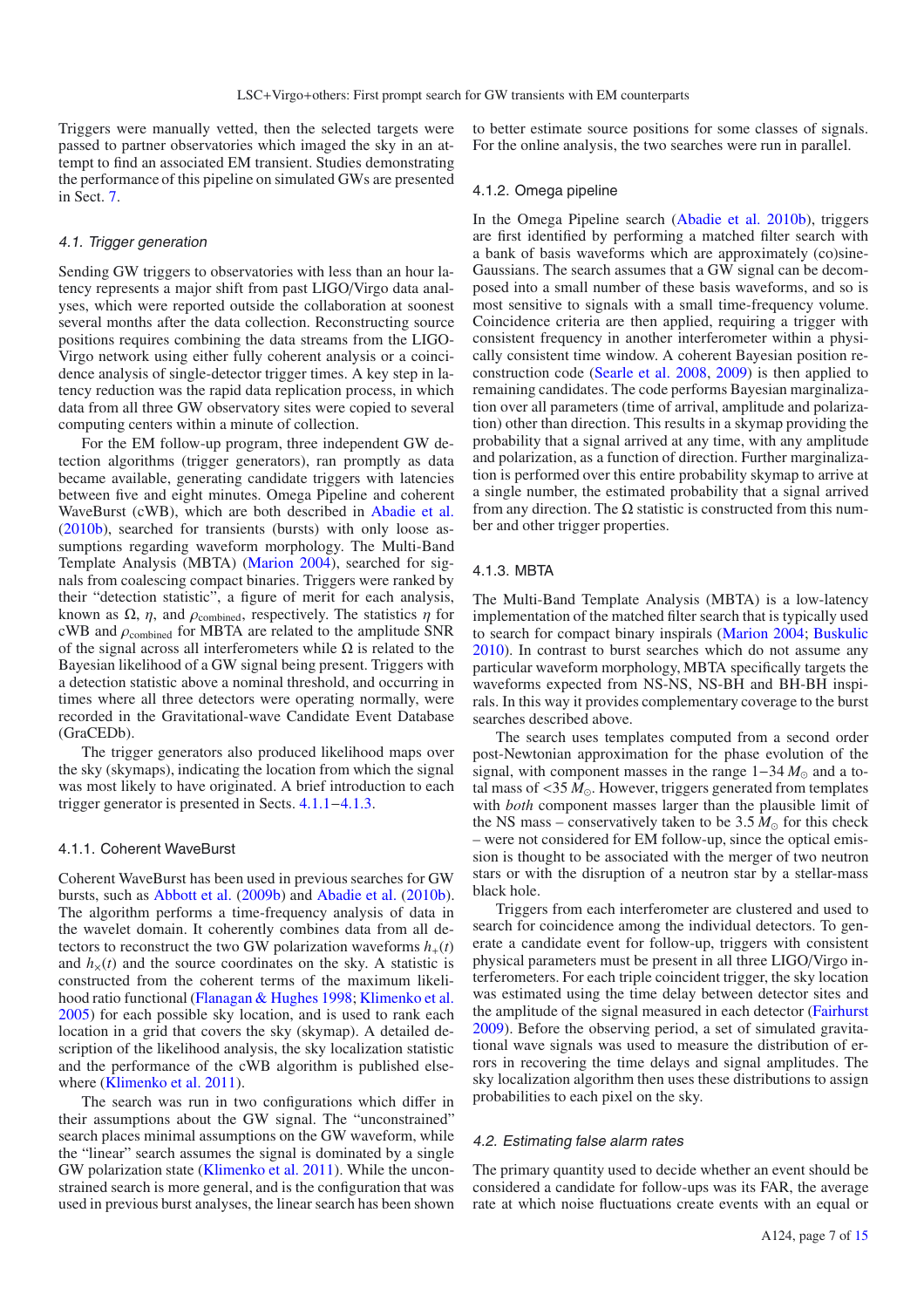Triggers were manually vetted, then the selected targets were passed to partner observatories which imaged the sky in an attempt to find an associated EM transient. Studies demonstrating the performance of this pipeline on simulated GWs are presented in Sect. [7.](#page-9-0)

#### <span id="page-6-3"></span>4.1. Trigger generation

Sending GW triggers to observatories with less than an hour latency represents a major shift from past LIGO/Virgo data analyses, which were reported outside the collaboration at soonest several months after the data collection. Reconstructing source positions requires combining the data streams from the LIGO-Virgo network using either fully coherent analysis or a coincidence analysis of single-detector trigger times. A key step in latency reduction was the rapid data replication process, in which data from all three GW observatory sites were copied to several computing centers within a minute of collection.

For the EM follow-up program, three independent GW detection algorithms (trigger generators), ran promptly as data became available, generating candidate triggers with latencies between five and eight minutes. Omega Pipeline and coherent WaveBurst (cWB), which are both described in [Abadie et al.](#page-13-82) [\(2010b](#page-13-82)), searched for transients (bursts) with only loose assumptions regarding waveform morphology. The Multi-Band Template Analysis (MBTA) [\(Marion 2004](#page-13-83)), searched for signals from coalescing compact binaries. Triggers were ranked by their "detection statistic", a figure of merit for each analysis, known as  $\Omega$ ,  $\eta$ , and  $\rho$ <sub>combined</sub>, respectively. The statistics  $\eta$  for cWB and  $\rho_{\text{combined}}$  for MBTA are related to the amplitude SNR of the signal across all interferometers while  $\Omega$  is related to the Bayesian likelihood of a GW signal being present. Triggers with a detection statistic above a nominal threshold, and occurring in times where all three detectors were operating normally, were recorded in the Gravitational-wave Candidate Event Database (GraCEDb).

The trigger generators also produced likelihood maps over the sky (skymaps), indicating the location from which the signal was most likely to have originated. A brief introduction to each trigger generator is presented in Sects. [4.1.1](#page-6-1)−[4.1.3.](#page-6-2)

## <span id="page-6-1"></span>4.1.1. Coherent WaveBurst

Coherent WaveBurst has been used in previous searches for GW bursts, such as [Abbott et al.](#page-13-84) [\(2009b\)](#page-13-84) and [Abadie et al.](#page-13-82) [\(2010b](#page-13-82)). The algorithm performs a time-frequency analysis of data in the wavelet domain. It coherently combines data from all detectors to reconstruct the two GW polarization waveforms  $h_{+}(t)$ and  $h<sub>x</sub>(t)$  and the source coordinates on the sky. A statistic is constructed from the coherent terms of the maximum likelihood ratio functional [\(Flanagan & Hughes 1998](#page-13-85); [Klimenko et al.](#page-13-86) [2005\)](#page-13-86) for each possible sky location, and is used to rank each location in a grid that covers the sky (skymap). A detailed description of the likelihood analysis, the sky localization statistic and the performance of the cWB algorithm is published else-where [\(Klimenko et al. 2011](#page-13-87)).

The search was run in two configurations which differ in their assumptions about the GW signal. The "unconstrained" search places minimal assumptions on the GW waveform, while the "linear" search assumes the signal is dominated by a single GW polarization state [\(Klimenko et al. 2011](#page-13-87)). While the unconstrained search is more general, and is the configuration that was used in previous burst analyses, the linear search has been shown to better estimate source positions for some classes of signals. For the online analysis, the two searches were run in parallel.

#### 4.1.2. Omega pipeline

In the Omega Pipeline search [\(Abadie et al. 2010b](#page-13-82)), triggers are first identified by performing a matched filter search with a bank of basis waveforms which are approximately (co)sine-Gaussians. The search assumes that a GW signal can be decomposed into a small number of these basis waveforms, and so is most sensitive to signals with a small time-frequency volume. Coincidence criteria are then applied, requiring a trigger with consistent frequency in another interferometer within a physically consistent time window. A coherent Bayesian position reconstruction code [\(Searle et al. 2008](#page-13-88), [2009](#page-13-89)) is then applied to remaining candidates. The code performs Bayesian marginalization over all parameters (time of arrival, amplitude and polarization) other than direction. This results in a skymap providing the probability that a signal arrived at any time, with any amplitude and polarization, as a function of direction. Further marginalization is performed over this entire probability skymap to arrive at a single number, the estimated probability that a signal arrived from any direction. The  $\Omega$  statistic is constructed from this number and other trigger properties.

## <span id="page-6-2"></span>4.1.3. MBTA

The Multi-Band Template Analysis (MBTA) is a low-latency implementation of the matched filter search that is typically used to search for compact binary inspirals [\(Marion 2004](#page-13-83); [Buskulic](#page-13-90) [2010\)](#page-13-90). In contrast to burst searches which do not assume any particular waveform morphology, MBTA specifically targets the waveforms expected from NS-NS, NS-BH and BH-BH inspirals. In this way it provides complementary coverage to the burst searches described above.

The search uses templates computed from a second order post-Newtonian approximation for the phase evolution of the signal, with component masses in the range  $1-34 M_{\odot}$  and a total mass of  $\lt 35 M_{\odot}$ . However, triggers generated from templates with *both* component masses larger than the plausible limit of the NS mass – conservatively taken to be  $3.5 M_{\odot}$  for this check – were not considered for EM follow-up, since the optical emission is thought to be associated with the merger of two neutron stars or with the disruption of a neutron star by a stellar-mass black hole.

Triggers from each interferometer are clustered and used to search for coincidence among the individual detectors. To generate a candidate event for follow-up, triggers with consistent physical parameters must be present in all three LIGO/Virgo interferometers. For each triple coincident trigger, the sky location was estimated using the time delay between detector sites and the amplitude of the signal measured in each detector [\(Fairhurst](#page-13-62) [2009\)](#page-13-62). Before the observing period, a set of simulated gravitational wave signals was used to measure the distribution of errors in recovering the time delays and signal amplitudes. The sky localization algorithm then uses these distributions to assign probabilities to each pixel on the sky.

#### <span id="page-6-0"></span>4.2. Estimating false alarm rates

The primary quantity used to decide whether an event should be considered a candidate for follow-ups was its FAR, the average rate at which noise fluctuations create events with an equal or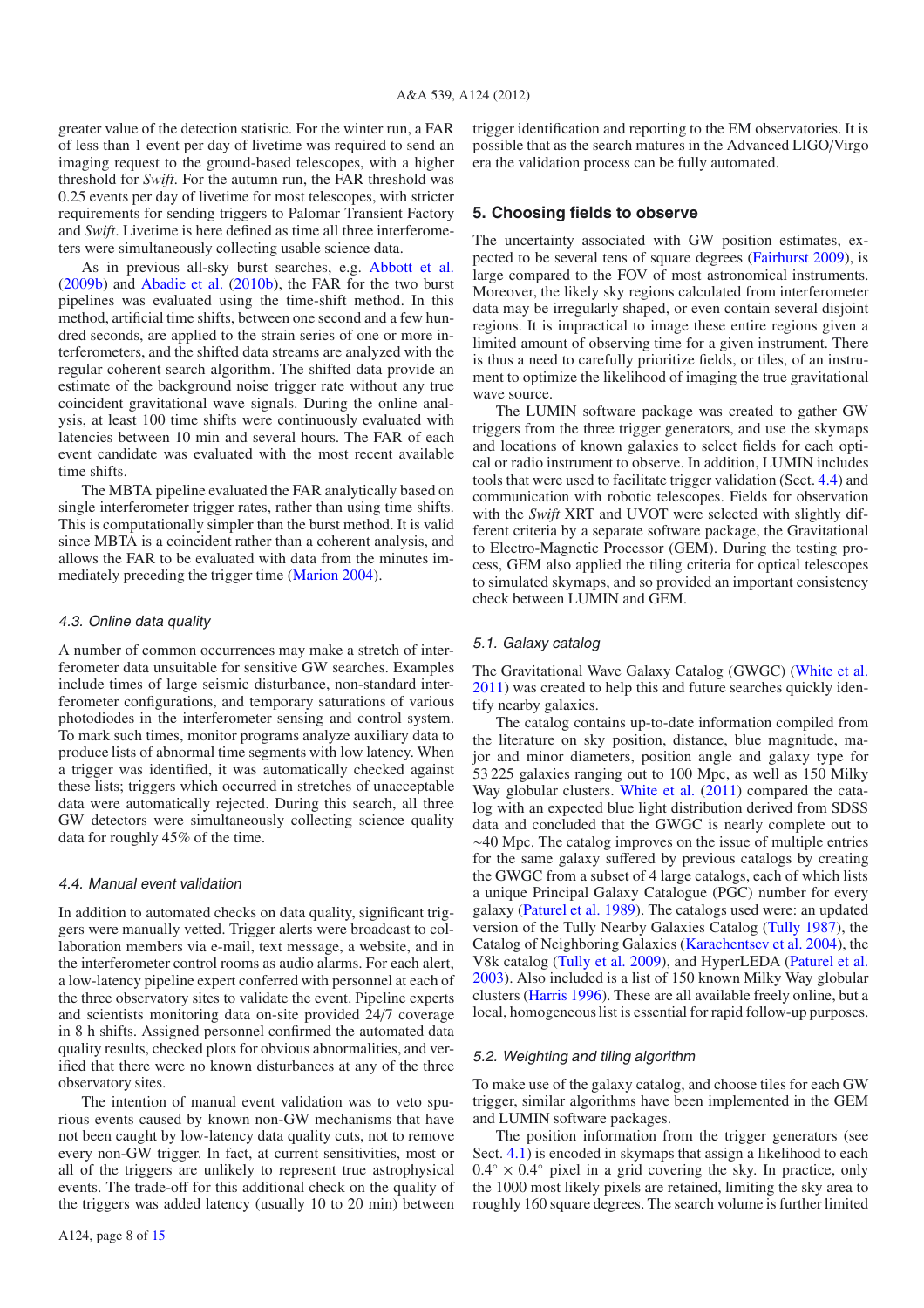greater value of the detection statistic. For the winter run, a FAR of less than 1 event per day of livetime was required to send an imaging request to the ground-based telescopes, with a higher threshold for *Swift*. For the autumn run, the FAR threshold was 0.25 events per day of livetime for most telescopes, with stricter requirements for sending triggers to Palomar Transient Factory and *Swift*. Livetime is here defined as time all three interferometers were simultaneously collecting usable science data.

As in previous all-sky burst searches, e.g. [Abbott et al.](#page-13-84) [\(2009b](#page-13-84)) and [Abadie et al.](#page-13-82) [\(2010b](#page-13-82)), the FAR for the two burst pipelines was evaluated using the time-shift method. In this method, artificial time shifts, between one second and a few hundred seconds, are applied to the strain series of one or more interferometers, and the shifted data streams are analyzed with the regular coherent search algorithm. The shifted data provide an estimate of the background noise trigger rate without any true coincident gravitational wave signals. During the online analysis, at least 100 time shifts were continuously evaluated with latencies between 10 min and several hours. The FAR of each event candidate was evaluated with the most recent available time shifts.

The MBTA pipeline evaluated the FAR analytically based on single interferometer trigger rates, rather than using time shifts. This is computationally simpler than the burst method. It is valid since MBTA is a coincident rather than a coherent analysis, and allows the FAR to be evaluated with data from the minutes immediately preceding the trigger time [\(Marion 2004](#page-13-83)).

#### 4.3. Online data quality

A number of common occurrences may make a stretch of interferometer data unsuitable for sensitive GW searches. Examples include times of large seismic disturbance, non-standard interferometer configurations, and temporary saturations of various photodiodes in the interferometer sensing and control system. To mark such times, monitor programs analyze auxiliary data to produce lists of abnormal time segments with low latency. When a trigger was identified, it was automatically checked against these lists; triggers which occurred in stretches of unacceptable data were automatically rejected. During this search, all three GW detectors were simultaneously collecting science quality data for roughly 45% of the time.

#### <span id="page-7-1"></span>4.4. Manual event validation

In addition to automated checks on data quality, significant triggers were manually vetted. Trigger alerts were broadcast to collaboration members via e-mail, text message, a website, and in the interferometer control rooms as audio alarms. For each alert, a low-latency pipeline expert conferred with personnel at each of the three observatory sites to validate the event. Pipeline experts and scientists monitoring data on-site provided 24/7 coverage in 8 h shifts. Assigned personnel confirmed the automated data quality results, checked plots for obvious abnormalities, and verified that there were no known disturbances at any of the three observatory sites.

The intention of manual event validation was to veto spurious events caused by known non-GW mechanisms that have not been caught by low-latency data quality cuts, not to remove every non-GW trigger. In fact, at current sensitivities, most or all of the triggers are unlikely to represent true astrophysical events. The trade-off for this additional check on the quality of the triggers was added latency (usually 10 to 20 min) between trigger identification and reporting to the EM observatories. It is possible that as the search matures in the Advanced LIGO/Virgo era the validation process can be fully automated.

## <span id="page-7-0"></span>**5. Choosing fields to observe**

The uncertainty associated with GW position estimates, expected to be several tens of square degrees [\(Fairhurst 2009\)](#page-13-62), is large compared to the FOV of most astronomical instruments. Moreover, the likely sky regions calculated from interferometer data may be irregularly shaped, or even contain several disjoint regions. It is impractical to image these entire regions given a limited amount of observing time for a given instrument. There is thus a need to carefully prioritize fields, or tiles, of an instrument to optimize the likelihood of imaging the true gravitational wave source.

The LUMIN software package was created to gather GW triggers from the three trigger generators, and use the skymaps and locations of known galaxies to select fields for each optical or radio instrument to observe. In addition, LUMIN includes tools that were used to facilitate trigger validation (Sect. [4.4\)](#page-7-1) and communication with robotic telescopes. Fields for observation with the *Swift* XRT and UVOT were selected with slightly different criteria by a separate software package, the Gravitational to Electro-Magnetic Processor (GEM). During the testing process, GEM also applied the tiling criteria for optical telescopes to simulated skymaps, and so provided an important consistency check between LUMIN and GEM.

#### 5.1. Galaxy catalog

The Gravitational Wave Galaxy Catalog (GWGC) [\(White et al.](#page-13-91) [2011\)](#page-13-91) was created to help this and future searches quickly identify nearby galaxies.

The catalog contains up-to-date information compiled from the literature on sky position, distance, blue magnitude, major and minor diameters, position angle and galaxy type for 53 225 galaxies ranging out to 100 Mpc, as well as 150 Milky Way globular clusters. [White et al.](#page-13-91) [\(2011\)](#page-13-91) compared the catalog with an expected blue light distribution derived from SDSS data and concluded that the GWGC is nearly complete out to ∼40 Mpc. The catalog improves on the issue of multiple entries for the same galaxy suffered by previous catalogs by creating the GWGC from a subset of 4 large catalogs, each of which lists a unique Principal Galaxy Catalogue (PGC) number for every galaxy [\(Paturel et al. 1989](#page-13-92)). The catalogs used were: an updated version of the Tully Nearby Galaxies Catalog [\(Tully 1987\)](#page-13-93), the Catalog of Neighboring Galaxies [\(Karachentsev et al. 2004](#page-13-94)), the V8k catalog [\(Tully et al. 2009\)](#page-13-95), and HyperLEDA [\(Paturel et al.](#page-13-96) [2003\)](#page-13-96). Also included is a list of 150 known Milky Way globular clusters [\(Harris 1996](#page-13-97)). These are all available freely online, but a local, homogeneous list is essential for rapid follow-up purposes.

## 5.2. Weighting and tiling algorithm

To make use of the galaxy catalog, and choose tiles for each GW trigger, similar algorithms have been implemented in the GEM and LUMIN software packages.

The position information from the trigger generators (see Sect. [4.1\)](#page-6-3) is encoded in skymaps that assign a likelihood to each  $0.4° \times 0.4°$  pixel in a grid covering the sky. In practice, only the 1000 most likely pixels are retained, limiting the sky area to roughly 160 square degrees. The search volume is further limited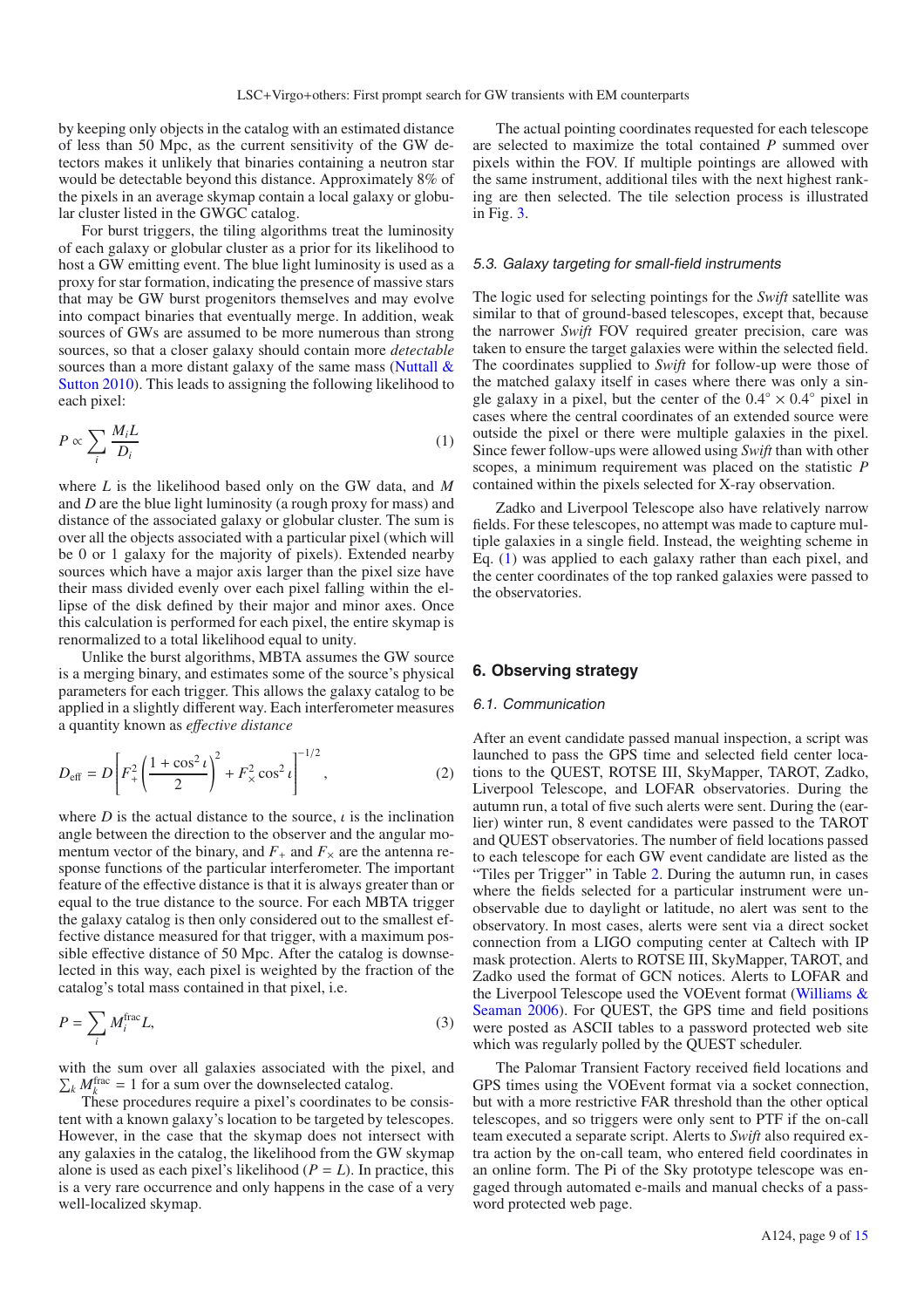<span id="page-8-0"></span>by keeping only objects in the catalog with an estimated distance of less than 50 Mpc, as the current sensitivity of the GW detectors makes it unlikely that binaries containing a neutron star would be detectable beyond this distance. Approximately 8% of the pixels in an average skymap contain a local galaxy or globular cluster listed in the GWGC catalog.

For burst triggers, the tiling algorithms treat the luminosity of each galaxy or globular cluster as a prior for its likelihood to host a GW emitting event. The blue light luminosity is used as a proxy for star formation, indicating the presence of massive stars that may be GW burst progenitors themselves and may evolve into compact binaries that eventually merge. In addition, weak sources of GWs are assumed to be more numerous than strong sources, so that a closer galaxy should contain more *detectable* [s](#page-13-63)ources [than](#page-13-63) [a](#page-13-63) [more](#page-13-63) [distant](#page-13-63) [galaxy](#page-13-63) [of](#page-13-63) [the](#page-13-63) [same](#page-13-63) [mass](#page-13-63) [\(](#page-13-63)Nuttall  $\&$ Sutton [2010](#page-13-63)). This leads to assigning the following likelihood to each pixel:

$$
P \propto \sum_{i} \frac{M_i L}{D_i} \tag{1}
$$

where *L* is the likelihood based only on the GW data, and *M* and *D* are the blue light luminosity (a rough proxy for mass) and distance of the associated galaxy or globular cluster. The sum is over all the objects associated with a particular pixel (which will be 0 or 1 galaxy for the majority of pixels). Extended nearby sources which have a major axis larger than the pixel size have their mass divided evenly over each pixel falling within the ellipse of the disk defined by their major and minor axes. Once this calculation is performed for each pixel, the entire skymap is renormalized to a total likelihood equal to unity.

Unlike the burst algorithms, MBTA assumes the GW source is a merging binary, and estimates some of the source's physical parameters for each trigger. This allows the galaxy catalog to be applied in a slightly different way. Each interferometer measures a quantity known as *e*ff*ective distance*

$$
D_{\text{eff}} = D \left[ F_+^2 \left( \frac{1 + \cos^2 t}{2} \right)^2 + F_\times^2 \cos^2 t \right]^{-1/2},\tag{2}
$$

where *D* is the actual distance to the source,  $\iota$  is the inclination angle between the direction to the observer and the angular momentum vector of the binary, and  $F_+$  and  $F_\times$  are the antenna response functions of the particular interferometer. The important feature of the effective distance is that it is always greater than or equal to the true distance to the source. For each MBTA trigger the galaxy catalog is then only considered out to the smallest effective distance measured for that trigger, with a maximum possible effective distance of 50 Mpc. After the catalog is downselected in this way, each pixel is weighted by the fraction of the catalog's total mass contained in that pixel, i.e.

$$
P = \sum_{i} M_i^{\text{frac}} L,\tag{3}
$$

with the sum over all galaxies associated with the pixel, and  $\sum_{k} M_k^{\text{frac}} = 1$  for a sum over the downselected catalog.

These procedures require a pixel's coordinates to be consistent with a known galaxy's location to be targeted by telescopes. However, in the case that the skymap does not intersect with any galaxies in the catalog, the likelihood from the GW skymap alone is used as each pixel's likelihood ( $P = L$ ). In practice, this is a very rare occurrence and only happens in the case of a very well-localized skymap.

The actual pointing coordinates requested for each telescope are selected to maximize the total contained *P* summed over pixels within the FOV. If multiple pointings are allowed with the same instrument, additional tiles with the next highest ranking are then selected. The tile selection process is illustrated in Fig. [3.](#page-9-1)

#### 5.3. Galaxy targeting for small-field instruments

The logic used for selecting pointings for the *Swift* satellite was similar to that of ground-based telescopes, except that, because the narrower *Swift* FOV required greater precision, care was taken to ensure the target galaxies were within the selected field. The coordinates supplied to *Swift* for follow-up were those of the matched galaxy itself in cases where there was only a single galaxy in a pixel, but the center of the  $0.4° \times 0.4°$  pixel in cases where the central coordinates of an extended source were outside the pixel or there were multiple galaxies in the pixel. Since fewer follow-ups were allowed using *Swift* than with other scopes, a minimum requirement was placed on the statistic *P* contained within the pixels selected for X-ray observation.

Zadko and Liverpool Telescope also have relatively narrow fields. For these telescopes, no attempt was made to capture multiple galaxies in a single field. Instead, the weighting scheme in Eq. [\(1\)](#page-8-0) was applied to each galaxy rather than each pixel, and the center coordinates of the top ranked galaxies were passed to the observatories.

## **6. Observing strategy**

#### 6.1. Communication

After an event candidate passed manual inspection, a script was launched to pass the GPS time and selected field center locations to the QUEST, ROTSE III, SkyMapper, TAROT, Zadko, Liverpool Telescope, and LOFAR observatories. During the autumn run, a total of five such alerts were sent. During the (earlier) winter run, 8 event candidates were passed to the TAROT and QUEST observatories. The number of field locations passed to each telescope for each GW event candidate are listed as the "Tiles per Trigger" in Table [2.](#page-5-1) During the autumn run, in cases where the fields selected for a particular instrument were unobservable due to daylight or latitude, no alert was sent to the observatory. In most cases, alerts were sent via a direct socket connection from a LIGO computing center at Caltech with IP mask protection. Alerts to ROTSE III, SkyMapper, TAROT, and Zadko used the format of GCN notices. Alerts to LOFAR and the Liv[erpool Telescope used the VOEvent format \(](#page-13-98)Williams & Seaman [2006\)](#page-13-98). For QUEST, the GPS time and field positions were posted as ASCII tables to a password protected web site which was regularly polled by the QUEST scheduler.

The Palomar Transient Factory received field locations and GPS times using the VOEvent format via a socket connection, but with a more restrictive FAR threshold than the other optical telescopes, and so triggers were only sent to PTF if the on-call team executed a separate script. Alerts to *Swift* also required extra action by the on-call team, who entered field coordinates in an online form. The Pi of the Sky prototype telescope was engaged through automated e-mails and manual checks of a password protected web page.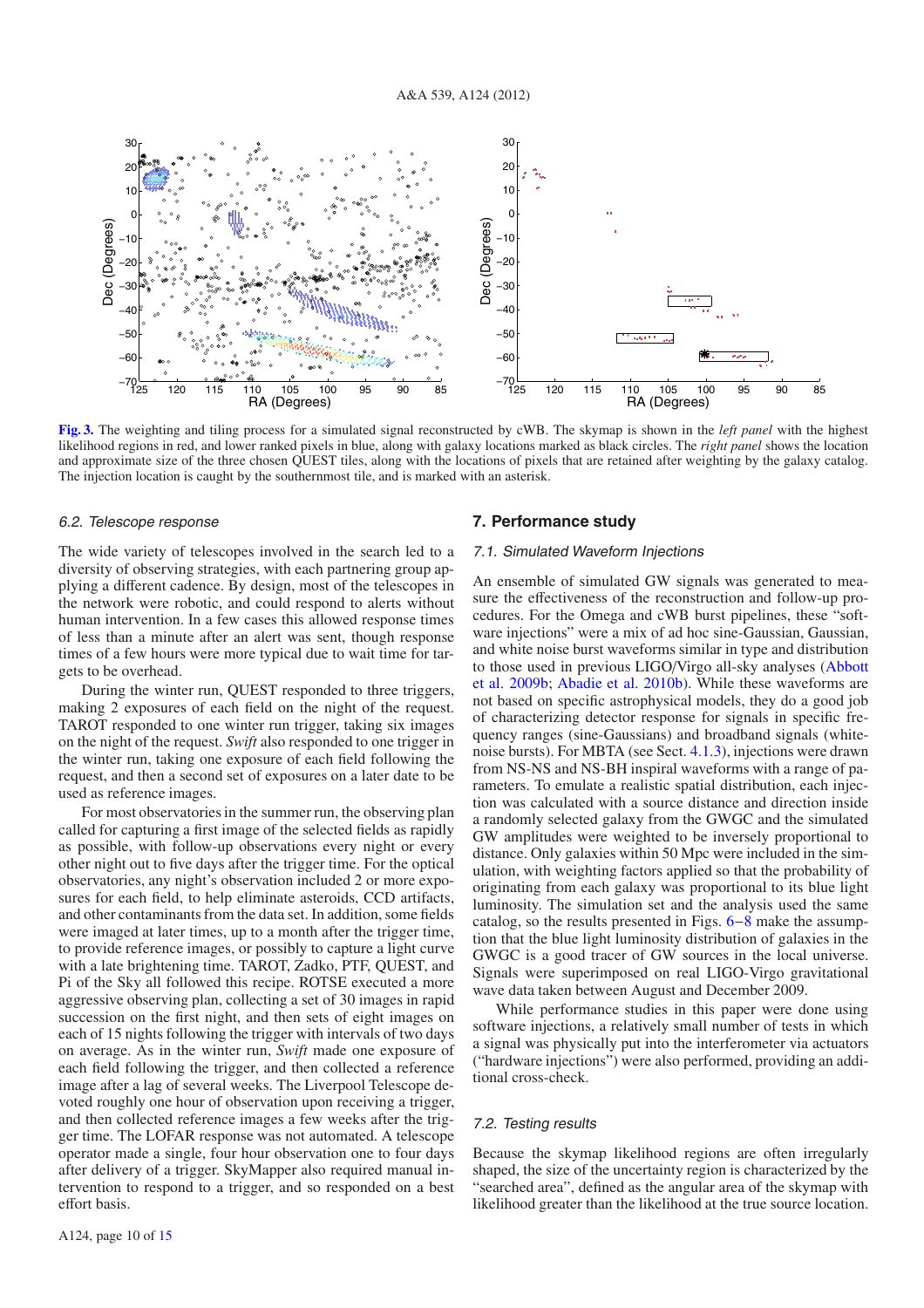<span id="page-9-1"></span>

**[Fig. 3.](http://dexter.edpsciences.org/applet.php?DOI=10.1051/0004-6361/201118219&pdf_id=3)** The weighting and tiling process for a simulated signal reconstructed by cWB. The skymap is shown in the *left panel* with the highest likelihood regions in red, and lower ranked pixels in blue, along with galaxy locations marked as black circles. The *right panel* shows the location and approximate size of the three chosen QUEST tiles, along with the locations of pixels that are retained after weighting by the galaxy catalog. The injection location is caught by the southernmost tile, and is marked with an asterisk.

## 6.2. Telescope response

The wide variety of telescopes involved in the search led to a diversity of observing strategies, with each partnering group applying a different cadence. By design, most of the telescopes in the network were robotic, and could respond to alerts without human intervention. In a few cases this allowed response times of less than a minute after an alert was sent, though response times of a few hours were more typical due to wait time for targets to be overhead.

During the winter run, QUEST responded to three triggers, making 2 exposures of each field on the night of the request. TAROT responded to one winter run trigger, taking six images on the night of the request. *Swift* also responded to one trigger in the winter run, taking one exposure of each field following the request, and then a second set of exposures on a later date to be used as reference images.

For most observatories in the summer run, the observing plan called for capturing a first image of the selected fields as rapidly as possible, with follow-up observations every night or every other night out to five days after the trigger time. For the optical observatories, any night's observation included 2 or more exposures for each field, to help eliminate asteroids, CCD artifacts, and other contaminants from the data set. In addition, some fields were imaged at later times, up to a month after the trigger time, to provide reference images, or possibly to capture a light curve with a late brightening time. TAROT, Zadko, PTF, QUEST, and Pi of the Sky all followed this recipe. ROTSE executed a more aggressive observing plan, collecting a set of 30 images in rapid succession on the first night, and then sets of eight images on each of 15 nights following the trigger with intervals of two days on average. As in the winter run, *Swift* made one exposure of each field following the trigger, and then collected a reference image after a lag of several weeks. The Liverpool Telescope devoted roughly one hour of observation upon receiving a trigger, and then collected reference images a few weeks after the trigger time. The LOFAR response was not automated. A telescope operator made a single, four hour observation one to four days after delivery of a trigger. SkyMapper also required manual intervention to respond to a trigger, and so responded on a best effort basis.

## <span id="page-9-0"></span>**7. Performance study**

## 7.1. Simulated Waveform Injections

An ensemble of simulated GW signals was generated to measure the effectiveness of the reconstruction and follow-up procedures. For the Omega and cWB burst pipelines, these "software injections" were a mix of ad hoc sine-Gaussian, Gaussian, and white noise burst waveforms similar in type and distribution to th[ose used in previous LIGO](#page-13-84)/Virgo all-sky analyses (Abbott et al. [2009b](#page-13-84); [Abadie et al. 2010b\)](#page-13-82). While these waveforms are not based on specific astrophysical models, they do a good job of characterizing detector response for signals in specific frequency ranges (sine-Gaussians) and broadband signals (whitenoise bursts). For MBTA (see Sect. [4.1.3\)](#page-6-2), injections were drawn from NS-NS and NS-BH inspiral waveforms with a range of parameters. To emulate a realistic spatial distribution, each injection was calculated with a source distance and direction inside a randomly selected galaxy from the GWGC and the simulated GW amplitudes were weighted to be inversely proportional to distance. Only galaxies within 50 Mpc were included in the simulation, with weighting factors applied so that the probability of originating from each galaxy was proportional to its blue light luminosity. The simulation set and the analysis used the same catalog, so the results presented in Figs. [6](#page-11-0)−[8](#page-12-0) make the assumption that the blue light luminosity distribution of galaxies in the GWGC is a good tracer of GW sources in the local universe. Signals were superimposed on real LIGO-Virgo gravitational wave data taken between August and December 2009.

While performance studies in this paper were done using software injections, a relatively small number of tests in which a signal was physically put into the interferometer via actuators ("hardware injections") were also performed, providing an additional cross-check.

#### 7.2. Testing results

Because the skymap likelihood regions are often irregularly shaped, the size of the uncertainty region is characterized by the "searched area", defined as the angular area of the skymap with likelihood greater than the likelihood at the true source location.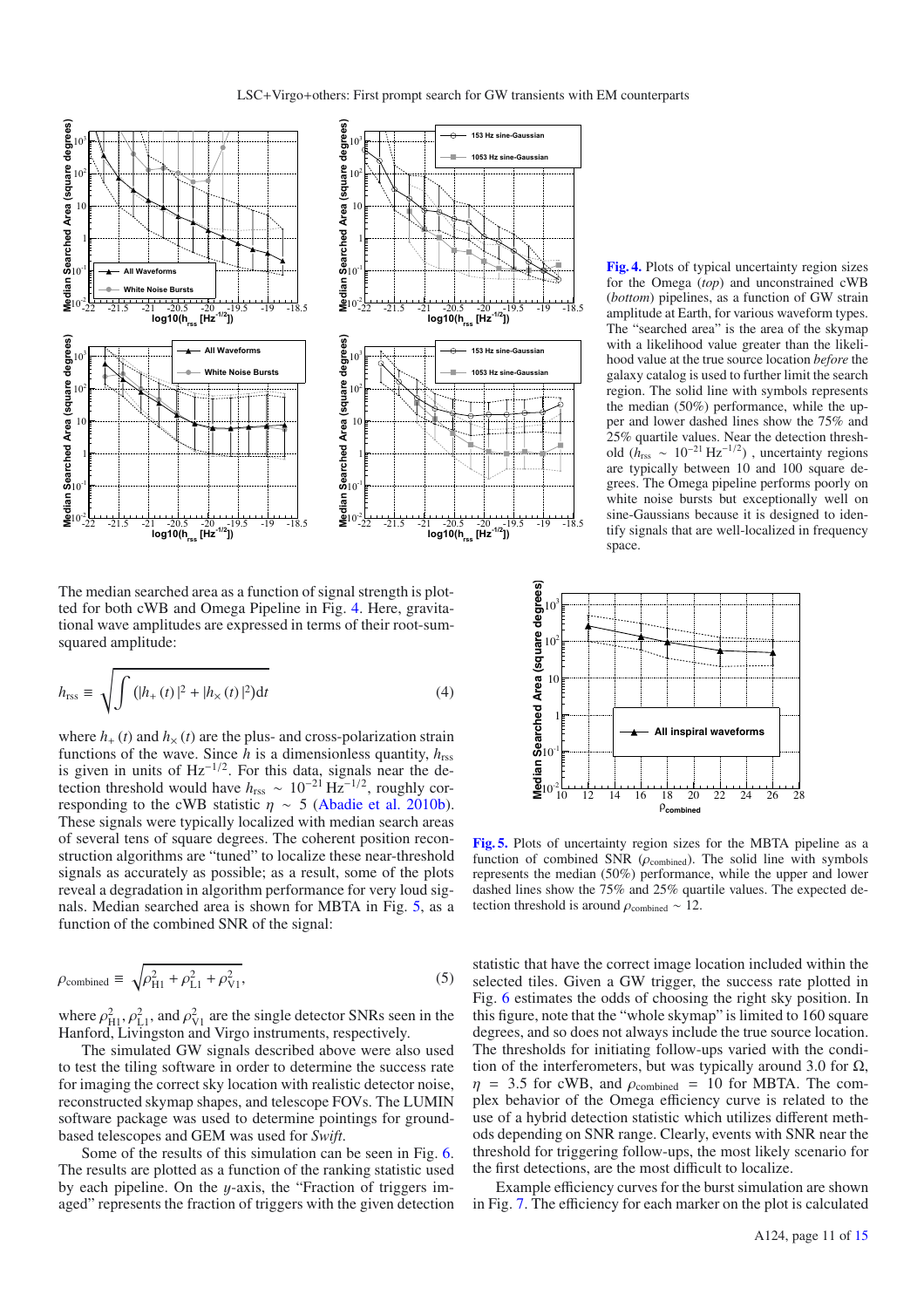

The median searched area as a function of signal strength is plotted for both cWB and Omega Pipeline in Fig. [4.](#page-10-0) Here, gravitational wave amplitudes are expressed in terms of their root-sumsquared amplitude:

$$
h_{\rm rss} \equiv \sqrt{\int (|h_{+}(t)|^2 + |h_{\times}(t)|^2) dt}
$$
 (4)

where  $h_{+}$  (*t*) and  $h_{\times}$  (*t*) are the plus- and cross-polarization strain functions of the wave. Since  $h$  is a dimensionless quantity,  $h_{\text{rss}}$ is given in units of  $Hz^{-1/2}$ . For this data, signals near the detection threshold would have  $h_{\text{rss}} \sim 10^{-21} \text{Hz}^{-1/2}$ , roughly corresponding to the cWB statistic  $\eta \sim 5$  [\(Abadie et al. 2010b\)](#page-13-82). These signals were typically localized with median search areas of several tens of square degrees. The coherent position reconstruction algorithms are "tuned" to localize these near-threshold signals as accurately as possible; as a result, some of the plots reveal a degradation in algorithm performance for very loud signals. Median searched area is shown for MBTA in Fig. [5,](#page-10-1) as a function of the combined SNR of the signal:

$$
\rho_{\text{combined}} \equiv \sqrt{\rho_{\text{H1}}^2 + \rho_{\text{L1}}^2 + \rho_{\text{V1}}^2},\tag{5}
$$

where  $\rho_{H1}^2$ ,  $\rho_{L1}^2$ , and  $\rho_{V1}^2$  are the single detector SNRs seen in the Hanford Tivingston and Virgo instruments respectively Hanford, Livingston and Virgo instruments, respectively.

The simulated GW signals described above were also used to test the tiling software in order to determine the success rate for imaging the correct sky location with realistic detector noise, reconstructed skymap shapes, and telescope FOVs. The LUMIN software package was used to determine pointings for groundbased telescopes and GEM was used for *Swift*.

Some of the results of this simulation can be seen in Fig. [6.](#page-11-0) The results are plotted as a function of the ranking statistic used by each pipeline. On the y-axis, the "Fraction of triggers imaged" represents the fraction of triggers with the given detection

<span id="page-10-0"></span>**[Fig. 4.](http://dexter.edpsciences.org/applet.php?DOI=10.1051/0004-6361/201118219&pdf_id=4)** Plots of typical uncertainty region sizes for the Omega (*top*) and unconstrained cWB (*bottom*) pipelines, as a function of GW strain amplitude at Earth, for various waveform types. The "searched area" is the area of the skymap with a likelihood value greater than the likelihood value at the true source location *before* the galaxy catalog is used to further limit the search region. The solid line with symbols represents the median (50%) performance, while the upper and lower dashed lines show the 75% and 25% quartile values. Near the detection threshold ( $\hat{h}_{\text{rss}}$  ~ 10<sup>-21</sup> Hz<sup>-1/2</sup>), uncertainty regions are typically between 10 and 100 square degrees. The Omega pipeline performs poorly on white noise bursts but exceptionally well on sine-Gaussians because it is designed to identify signals that are well-localized in frequency space.

<span id="page-10-1"></span>

**[Fig. 5.](http://dexter.edpsciences.org/applet.php?DOI=10.1051/0004-6361/201118219&pdf_id=5)** Plots of uncertainty region sizes for the MBTA pipeline as a function of combined SNR ( $\rho_{\text{combined}}$ ). The solid line with symbols represents the median (50%) performance, while the upper and lower dashed lines show the 75% and 25% quartile values. The expected detection threshold is around  $\rho_{\text{combined}} \sim 12$ .

statistic that have the correct image location included within the selected tiles. Given a GW trigger, the success rate plotted in Fig. [6](#page-11-0) estimates the odds of choosing the right sky position. In this figure, note that the "whole skymap" is limited to 160 square degrees, and so does not always include the true source location. The thresholds for initiating follow-ups varied with the condition of the interferometers, but was typically around 3.0 for  $\Omega$ ,  $\eta$  = 3.5 for cWB, and  $\rho_{\text{combined}}$  = 10 for MBTA. The complex behavior of the Omega efficiency curve is related to the use of a hybrid detection statistic which utilizes different methods depending on SNR range. Clearly, events with SNR near the threshold for triggering follow-ups, the most likely scenario for the first detections, are the most difficult to localize.

Example efficiency curves for the burst simulation are shown in Fig. [7.](#page-11-1) The efficiency for each marker on the plot is calculated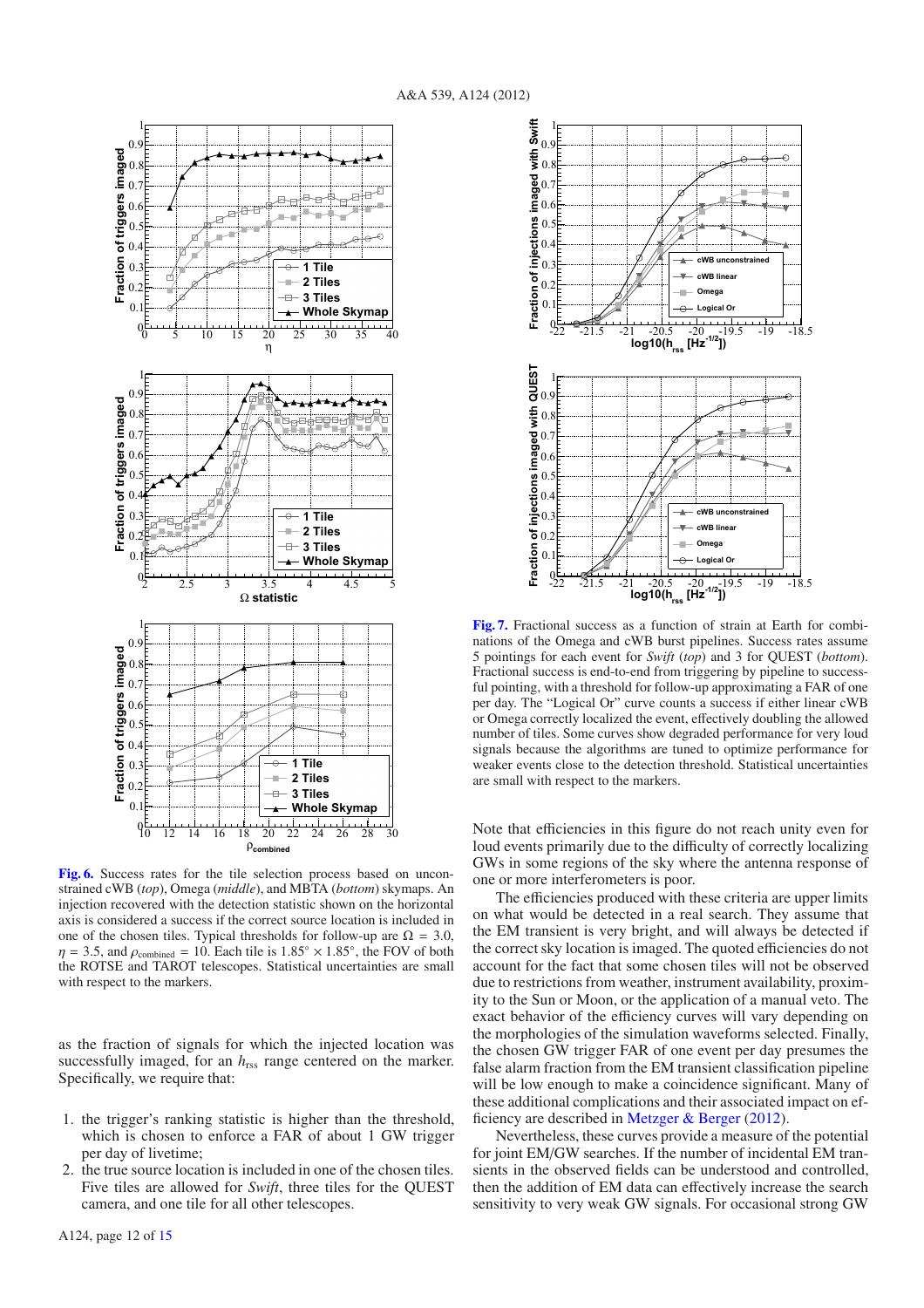

<span id="page-11-0"></span>**[Fig. 6.](http://dexter.edpsciences.org/applet.php?DOI=10.1051/0004-6361/201118219&pdf_id=6)** Success rates for the tile selection process based on unconstrained cWB (*top*), Omega (*middle*), and MBTA (*bottom*) skymaps. An injection recovered with the detection statistic shown on the horizontal axis is considered a success if the correct source location is included in one of the chosen tiles. Typical thresholds for follow-up are  $\Omega = 3.0$ ,  $\eta = 3.5$ , and  $\rho_{\text{combined}} = 10$ . Each tile is  $1.85^\circ \times 1.85^\circ$ , the FOV of both the ROTSE and TAROT telescopes. Statistical uncertainties are small with respect to the markers.

as the fraction of signals for which the injected location was successfully imaged, for an  $h_{\text{rss}}$  range centered on the marker. Specifically, we require that:

- 1. the trigger's ranking statistic is higher than the threshold, which is chosen to enforce a FAR of about 1 GW trigger per day of livetime;
- 2. the true source location is included in one of the chosen tiles. Five tiles are allowed for *Swift*, three tiles for the QUEST camera, and one tile for all other telescopes.



<span id="page-11-1"></span>**[Fig. 7.](http://dexter.edpsciences.org/applet.php?DOI=10.1051/0004-6361/201118219&pdf_id=7)** Fractional success as a function of strain at Earth for combinations of the Omega and cWB burst pipelines. Success rates assume 5 pointings for each event for *Swift* (*top*) and 3 for QUEST (*bottom*). Fractional success is end-to-end from triggering by pipeline to successful pointing, with a threshold for follow-up approximating a FAR of one per day. The "Logical Or" curve counts a success if either linear cWB or Omega correctly localized the event, effectively doubling the allowed number of tiles. Some curves show degraded performance for very loud signals because the algorithms are tuned to optimize performance for weaker events close to the detection threshold. Statistical uncertainties are small with respect to the markers.

Note that efficiencies in this figure do not reach unity even for loud events primarily due to the difficulty of correctly localizing GWs in some regions of the sky where the antenna response of one or more interferometers is poor.

The efficiencies produced with these criteria are upper limits on what would be detected in a real search. They assume that the EM transient is very bright, and will always be detected if the correct sky location is imaged. The quoted efficiencies do not account for the fact that some chosen tiles will not be observed due to restrictions from weather, instrument availability, proximity to the Sun or Moon, or the application of a manual veto. The exact behavior of the efficiency curves will vary depending on the morphologies of the simulation waveforms selected. Finally, the chosen GW trigger FAR of one event per day presumes the false alarm fraction from the EM transient classification pipeline will be low enough to make a coincidence significant. Many of these additional complications and their associated impact on efficiency are described in [Metzger & Berger](#page-13-99) [\(2012\)](#page-13-99).

Nevertheless, these curves provide a measure of the potential for joint EM/GW searches. If the number of incidental EM transients in the observed fields can be understood and controlled, then the addition of EM data can effectively increase the search sensitivity to very weak GW signals. For occasional strong GW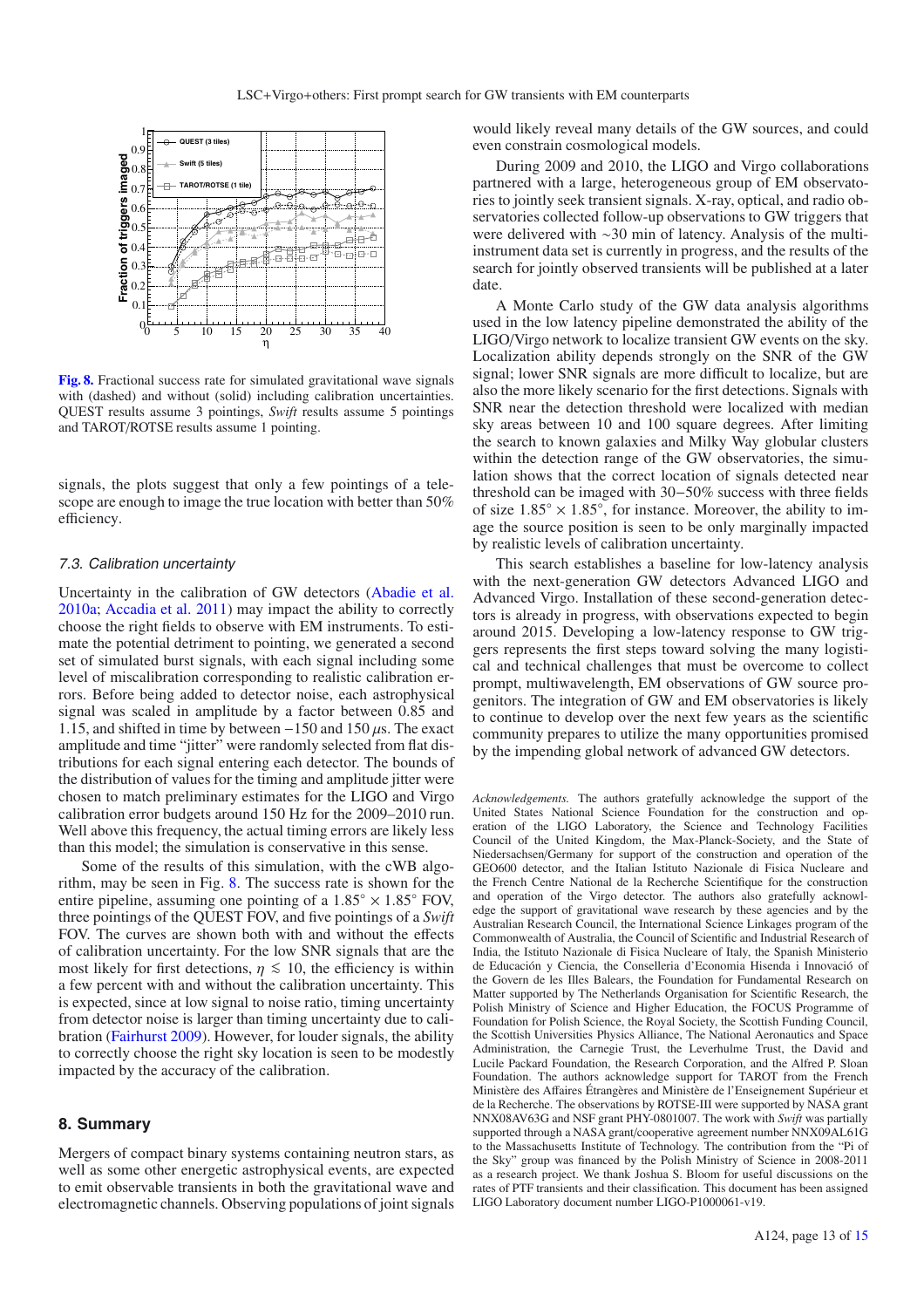<span id="page-12-0"></span>

**[Fig. 8.](http://dexter.edpsciences.org/applet.php?DOI=10.1051/0004-6361/201118219&pdf_id=8)** Fractional success rate for simulated gravitational wave signals with (dashed) and without (solid) including calibration uncertainties. QUEST results assume 3 pointings, *Swift* results assume 5 pointings and TAROT/ROTSE results assume 1 pointing.

signals, the plots suggest that only a few pointings of a telescope are enough to image the true location with better than 50% efficiency.

#### 7.3. Calibration uncertainty

Uncertainty in the calibration of GW detectors [\(Abadie et al.](#page-13-100) [2010a](#page-13-100); [Accadia et al. 2011](#page-13-101)) may impact the ability to correctly choose the right fields to observe with EM instruments. To estimate the potential detriment to pointing, we generated a second set of simulated burst signals, with each signal including some level of miscalibration corresponding to realistic calibration errors. Before being added to detector noise, each astrophysical signal was scaled in amplitude by a factor between 0.85 and 1.15, and shifted in time by between  $-150$  and 150  $\mu$ s. The exact amplitude and time "jitter" were randomly selected from flat distributions for each signal entering each detector. The bounds of the distribution of values for the timing and amplitude jitter were chosen to match preliminary estimates for the LIGO and Virgo calibration error budgets around 150 Hz for the 2009–2010 run. Well above this frequency, the actual timing errors are likely less than this model; the simulation is conservative in this sense.

Some of the results of this simulation, with the cWB algorithm, may be seen in Fig. [8.](#page-12-0) The success rate is shown for the entire pipeline, assuming one pointing of a  $1.85° \times 1.85°$  FOV, three pointings of the QUEST FOV, and five pointings of a *Swift* FOV. The curves are shown both with and without the effects of calibration uncertainty. For the low SNR signals that are the most likely for first detections,  $\eta \leq 10$ , the efficiency is within a few percent with and without the calibration uncertainty. This is expected, since at low signal to noise ratio, timing uncertainty from detector noise is larger than timing uncertainty due to calibration [\(Fairhurst 2009\)](#page-13-62). However, for louder signals, the ability to correctly choose the right sky location is seen to be modestly impacted by the accuracy of the calibration.

## **8. Summary**

Mergers of compact binary systems containing neutron stars, as well as some other energetic astrophysical events, are expected to emit observable transients in both the gravitational wave and electromagnetic channels. Observing populations of joint signals would likely reveal many details of the GW sources, and could even constrain cosmological models.

During 2009 and 2010, the LIGO and Virgo collaborations partnered with a large, heterogeneous group of EM observatories to jointly seek transient signals. X-ray, optical, and radio observatories collected follow-up observations to GW triggers that were delivered with ∼30 min of latency. Analysis of the multiinstrument data set is currently in progress, and the results of the search for jointly observed transients will be published at a later date.

A Monte Carlo study of the GW data analysis algorithms used in the low latency pipeline demonstrated the ability of the LIGO/Virgo network to localize transient GW events on the sky. Localization ability depends strongly on the SNR of the GW signal; lower SNR signals are more difficult to localize, but are also the more likely scenario for the first detections. Signals with SNR near the detection threshold were localized with median sky areas between 10 and 100 square degrees. After limiting the search to known galaxies and Milky Way globular clusters within the detection range of the GW observatories, the simulation shows that the correct location of signals detected near threshold can be imaged with 30−50% success with three fields of size  $1.85^\circ \times 1.85^\circ$ , for instance. Moreover, the ability to image the source position is seen to be only marginally impacted by realistic levels of calibration uncertainty.

This search establishes a baseline for low-latency analysis with the next-generation GW detectors Advanced LIGO and Advanced Virgo. Installation of these second-generation detectors is already in progress, with observations expected to begin around 2015. Developing a low-latency response to GW triggers represents the first steps toward solving the many logistical and technical challenges that must be overcome to collect prompt, multiwavelength, EM observations of GW source progenitors. The integration of GW and EM observatories is likely to continue to develop over the next few years as the scientific community prepares to utilize the many opportunities promised by the impending global network of advanced GW detectors.

*Acknowledgements.* The authors gratefully acknowledge the support of the United States National Science Foundation for the construction and operation of the LIGO Laboratory, the Science and Technology Facilities Council of the United Kingdom, the Max-Planck-Society, and the State of Niedersachsen/Germany for support of the construction and operation of the GEO600 detector, and the Italian Istituto Nazionale di Fisica Nucleare and the French Centre National de la Recherche Scientifique for the construction and operation of the Virgo detector. The authors also gratefully acknowledge the support of gravitational wave research by these agencies and by the Australian Research Council, the International Science Linkages program of the Commonwealth of Australia, the Council of Scientific and Industrial Research of India, the Istituto Nazionale di Fisica Nucleare of Italy, the Spanish Ministerio de Educación y Ciencia, the Conselleria d'Economia Hisenda i Innovació of the Govern de les Illes Balears, the Foundation for Fundamental Research on Matter supported by The Netherlands Organisation for Scientific Research, the Polish Ministry of Science and Higher Education, the FOCUS Programme of Foundation for Polish Science, the Royal Society, the Scottish Funding Council, the Scottish Universities Physics Alliance, The National Aeronautics and Space Administration, the Carnegie Trust, the Leverhulme Trust, the David and Lucile Packard Foundation, the Research Corporation, and the Alfred P. Sloan Foundation. The authors acknowledge support for TAROT from the French Ministère des Affaires Étrangères and Ministère de l'Enseignement Supérieur et de la Recherche. The observations by ROTSE-III were supported by NASA grant NNX08AV63G and NSF grant PHY-0801007. The work with *Swift* was partially supported through a NASA grant/cooperative agreement number NNX09AL61G to the Massachusetts Institute of Technology. The contribution from the "Pi of the Sky" group was financed by the Polish Ministry of Science in 2008-2011 as a research project. We thank Joshua S. Bloom for useful discussions on the rates of PTF transients and their classification. This document has been assigned LIGO Laboratory document number LIGO-P1000061-v19.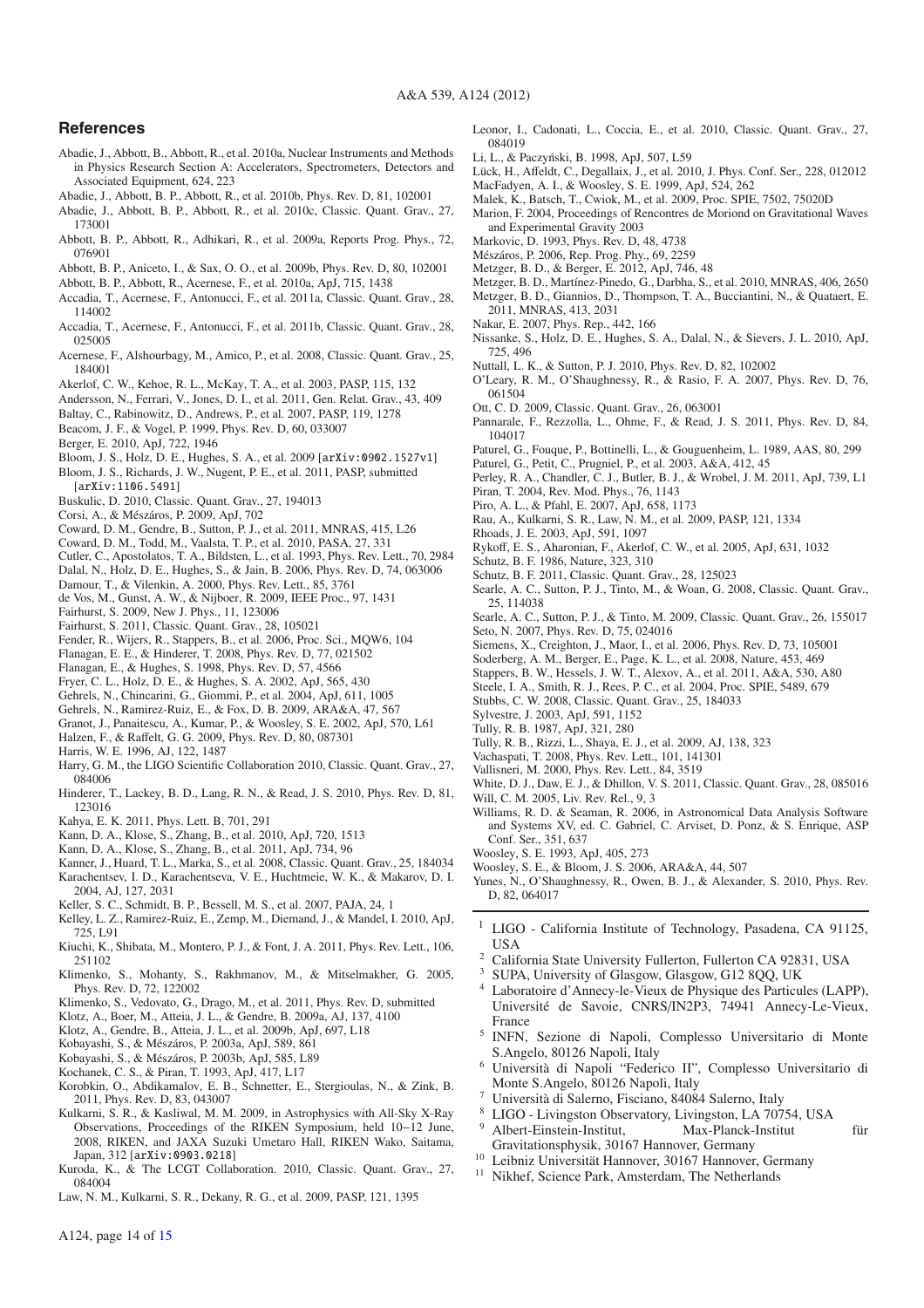#### <span id="page-13-69"></span><span id="page-13-26"></span><span id="page-13-24"></span><span id="page-13-19"></span><span id="page-13-2"></span>A&A 539, A124 (2012)

## **References**

- <span id="page-13-100"></span>Abadie, J., Abbott, B., Abbott, R., et al. 2010a, Nuclear Instruments and Methods in Physics Research Section A: Accelerators, Spectrometers, Detectors and Associated Equipment, 624, 223
- <span id="page-13-82"></span>Abadie, J., Abbott, B. P., Abbott, R., et al. 2010b, Phys. Rev. D, 81, 102001
- <span id="page-13-6"></span>Abadie, J., Abbott, B. P., Abbott, R., et al. 2010c, Classic. Quant. Grav., 27, 173001
- <span id="page-13-0"></span>Abbott, B. P., Abbott, R., Adhikari, R., et al. 2009a, Reports Prog. Phys., 72, 076901
- Abbott, B. P., Aniceto, I., & Sax, O. O., et al. 2009b, Phys. Rev. D, 80, 102001
- <span id="page-13-84"></span><span id="page-13-57"></span>Abbott, B. P., Abbott, R., Acernese, F., et al. 2010a, ApJ, 715, 1438
- <span id="page-13-1"></span>Accadia, T., Acernese, F., Antonucci, F., et al. 2011a, Classic. Quant. Grav., 28, 114002
- <span id="page-13-101"></span>Accadia, T., Acernese, F., Antonucci, F., et al. 2011b, Classic. Quant. Grav., 28, 025005
- <span id="page-13-4"></span>Acernese, F., Alshourbagy, M., Amico, P., et al. 2008, Classic. Quant. Grav., 25, 184001
- <span id="page-13-73"></span>Akerlof, C. W., Kehoe, R. L., McKay, T. A., et al. 2003, PASP, 115, 132
- <span id="page-13-46"></span>Andersson, N., Ferrari, V., Jones, D. I., et al. 2011, Gen. Relat. Grav., 43, 409
- Baltay, C., Rabinowitz, D., Andrews, P., et al. 2007, PASP, 119, 1278
- <span id="page-13-72"></span><span id="page-13-22"></span>Beacom, J. F., & Vogel, P. 1999, Phys. Rev. D, 60, 033007
- <span id="page-13-65"></span>Berger, E. 2010, ApJ, 722, 1946
- Bloom, J. S., Holz, D. E., Hughes, S. A., et al. 2009 [arXiv:0902.1527v1]
- <span id="page-13-59"></span><span id="page-13-11"></span>Bloom, J. S., Richards, J. W., Nugent, P. E., et al. 2011, PASP, submitted [arXiv:1106.5491]
- <span id="page-13-90"></span>Buskulic, D. 2010, Classic. Quant. Grav., 27, 194013
- 
- <span id="page-13-31"></span>Corsi, A., & Mészáros, P. 2009, ApJ, 702
- <span id="page-13-75"></span><span id="page-13-61"></span>Coward, D. M., Gendre, B., Sutton, P. J., et al. 2011, MNRAS, 415, L26
- Coward, D. M., Todd, M., Vaalsta, T. P., et al. 2010, PASA, 27, 331
- <span id="page-13-12"></span>Cutler, C., Apostolatos, T. A., Bildsten, L., et al. 1993, Phys. Rev. Lett., 70, 2984
- <span id="page-13-42"></span>Dalal, N., Holz, D. E., Hughes, S., & Jain, B. 2006, Phys. Rev. D, 74, 063006
- <span id="page-13-40"></span>Damour, T., & Vilenkin, A. 2000, Phys. Rev. Lett., 85, 3761
- <span id="page-13-78"></span>de Vos, M., Gunst, A. W., & Nijboer, R. 2009, IEEE Proc., 97, 1431
- <span id="page-13-62"></span>Fairhurst, S. 2009, New J. Phys., 11, 123006
- <span id="page-13-70"></span>Fairhurst, S. 2011, Classic. Quant. Grav., 28, 105021
- Fender, R., Wijers, R., Stappers, B., et al. 2006, Proc. Sci., MQW6, 104
- <span id="page-13-77"></span><span id="page-13-45"></span>Flanagan, E. E., & Hinderer, T. 2008, Phys. Rev. D, 77, 021502
- <span id="page-13-85"></span>Flanagan, E., & Hughes, S. 1998, Phys. Rev. D, 57, 4566
- <span id="page-13-29"></span>Fryer, C. L., Holz, D. E., & Hughes, S. A. 2002, ApJ, 565, 430
- <span id="page-13-81"></span>Gehrels, N., Chincarini, G., Giommi, P., et al. 2004, ApJ, 611, 1005
- <span id="page-13-16"></span>Gehrels, N., Ramirez-Ruiz, E., & Fox, D. B. 2009, ARA&A, 47, 567
- Granot, J., Panaitescu, A., Kumar, P., & Woosley, S. E. 2002, ApJ, 570, L61
- <span id="page-13-36"></span><span id="page-13-23"></span>Halzen, F., & Raffelt, G. G. 2009, Phys. Rev. D, 80, 087301
- <span id="page-13-97"></span>Harris, W. E. 1996, AJ, 122, 1487
- <span id="page-13-3"></span>Harry, G. M., the LIGO Scientific Collaboration 2010, Classic. Quant. Grav., 27, 084006
- <span id="page-13-48"></span>Hinderer, T., Lackey, B. D., Lang, R. N., & Read, J. S. 2010, Phys. Rev. D, 81, 123016
- Kahya, E. K. 2011, Phys. Lett. B, 701, 291
- <span id="page-13-55"></span><span id="page-13-35"></span>Kann, D. A., Klose, S., Zhang, B., et al. 2010, ApJ, 720, 1513
- <span id="page-13-18"></span>Kann, D. A., Klose, S., Zhang, B., et al. 2011, ApJ, 734, 96
- <span id="page-13-8"></span>Kanner, J., Huard, T. L., Marka, S., et al. 2008, Classic. Quant. Grav., 25, 184034
- <span id="page-13-94"></span>Karachentsev, I. D., Karachentseva, V. E., Huchtmeie, W. K., & Makarov, D. I. 2004, AJ, 127, 2031
- <span id="page-13-74"></span>Keller, S. C., Schmidt, B. P., Bessell, M. S., et al. 2007, PAJA, 24, 1
- <span id="page-13-66"></span>Kelley, L. Z., Ramirez-Ruiz, E., Zemp, M., Diemand, J., & Mandel, I. 2010, ApJ, 725, L91
- <span id="page-13-34"></span>Kiuchi, K., Shibata, M., Montero, P. J., & Font, J. A. 2011, Phys. Rev. Lett., 106, 251102
- <span id="page-13-86"></span>Klimenko, S., Mohanty, S., Rakhmanov, M., & Mitselmakher, G. 2005, Phys. Rev. D, 72, 122002
- <span id="page-13-87"></span>Klimenko, S., Vedovato, G., Drago, M., et al. 2011, Phys. Rev. D, submitted
- <span id="page-13-17"></span>Klotz, A., Boer, M., Atteia, J. L., & Gendre, B. 2009a, AJ, 137, 4100
- <span id="page-13-60"></span>Klotz, A., Gendre, B., Atteia, J. L., et al. 2009b, ApJ, 697, L18
- Kobayashi, S., & Mészáros, P. 2003a, ApJ, 589, 861
- <span id="page-13-49"></span><span id="page-13-30"></span>Kobayashi, S., & Mészáros, P. 2003b, ApJ, 585, L89
- Kochanek, C. S., & Piran, T. 1993, ApJ, 417, L17

A124, page 14 of [15](#page-14-0)

- <span id="page-13-58"></span>Korobkin, O., Abdikamalov, E. B., Schnetter, E., Stergioulas, N., & Zink, B.
- <span id="page-13-33"></span>2011, Phys. Rev. D, 83, 043007
- <span id="page-13-10"></span>Kulkarni, S. R., & Kasliwal, M. M. 2009, in Astrophysics with All-Sky X-Ray Observations, Proceedings of the RIKEN Symposium, held 10−12 June, 2008, RIKEN, and JAXA Suzuki Umetaro Hall, RIKEN Wako, Saitama, Japan, 312 [arXiv:0903.0218]
- <span id="page-13-5"></span>Kuroda, K., & The LCGT Collaboration. 2010, Classic. Quant. Grav., 27, 084004
- <span id="page-13-67"></span>Law, N. M., Kulkarni, S. R., Dekany, R. G., et al. 2009, PASP, 121, 1395
- Leonor, I., Cadonati, L., Coccia, E., et al. 2010, Classic. Quant. Grav., 27, 084019
- Li, L., & Paczyński, B. 1998, ApJ, 507, L59
- Lück, H., Affeldt, C., Degallaix, J., et al. 2010, J. Phys. Conf. Ser., 228, 012012 MacFadyen, A. I., & Woosley, S. E. 1999, ApJ, 524, 262
- Malek, K., Batsch, T., Cwiok, M., et al. 2009, Proc. SPIE, 7502, 75020D
- <span id="page-13-83"></span>Marion, F. 2004, Proceedings of Rencontres de Moriond on Gravitational Waves and Experimental Gravity 2003
- Markovic, D. 1993, Phys. Rev. D, 48, 4738
- <span id="page-13-99"></span><span id="page-13-52"></span><span id="page-13-14"></span>Mészáros, P. 2006, Rep. Prog. Phy., 69, 2259
- Metzger, B. D., & Berger, E. 2012, ApJ, 746, 48
- <span id="page-13-28"></span><span id="page-13-20"></span>Metzger, B. D., Martínez-Pinedo, G., Darbha, S., et al. 2010, MNRAS, 406, 2650
- Metzger, B. D., Giannios, D., Thompson, T. A., Bucciantini, N., & Quataert, E. 2011, MNRAS, 413, 2031
- Nakar, E. 2007, Phys. Rep., 442, 166
- <span id="page-13-43"></span><span id="page-13-13"></span>Nissanke, S., Holz, D. E., Hughes, S. A., Dalal, N., & Sievers, J. L. 2010, ApJ, 725, 496
- <span id="page-13-63"></span>Nuttall, L. K., & Sutton, P. J. 2010, Phys. Rev. D, 82, 102002
- <span id="page-13-64"></span>O'Leary, R. M., O'Shaughnessy, R., & Rasio, F. A. 2007, Phys. Rev. D, 76, 061504
- <span id="page-13-21"></span>Ott, C. D. 2009, Classic. Quant. Grav., 26, 063001
- <span id="page-13-47"></span>Pannarale, F., Rezzolla, L., Ohme, F., & Read, J. S. 2011, Phys. Rev. D, 84, 104017
- <span id="page-13-92"></span>Paturel, G., Fouque, P., Bottinelli, L., & Gouguenheim, L. 1989, AAS, 80, 299
- Paturel, G., Petit, C., Prugniel, P., et al. 2003, A&A, 412, 45
- <span id="page-13-96"></span><span id="page-13-80"></span><span id="page-13-15"></span>Perley, R. A., Chandler, C. J., Butler, B. J., & Wrobel, J. M. 2011, ApJ, 739, L1 Piran, T. 2004, Rev. Mod. Phys., 76, 1143
- <span id="page-13-32"></span>Piro, A. L., & Pfahl, E. 2007, ApJ, 658, 1173
- <span id="page-13-68"></span>Rau, A., Kulkarni, S. R., Law, N. M., et al. 2009, PASP, 121, 1334
- Rhoads, J. E. 2003, ApJ, 591, 1097
- <span id="page-13-38"></span><span id="page-13-37"></span>Rykoff, E. S., Aharonian, F., Akerlof, C. W., et al. 2005, ApJ, 631, 1032
- Schutz, B. F. 1986, Nature, 323, 310
- <span id="page-13-71"></span><span id="page-13-51"></span>Schutz, B. F. 2011, Classic. Quant. Grav., 28, 125023
- <span id="page-13-88"></span>Searle, A. C., Sutton, P. J., Tinto, M., & Woan, G. 2008, Classic. Quant. Grav., 25, 114038
- <span id="page-13-89"></span>Searle, A. C., Sutton, P. J., & Tinto, M. 2009, Classic. Quant. Grav., 26, 155017 Seto, N. 2007, Phys. Rev. D, 75, 024016
- Siemens, X., Creighton, J., Maor, I., et al. 2006, Phys. Rev. D, 73, 105001
- <span id="page-13-56"></span><span id="page-13-50"></span><span id="page-13-39"></span>Soderberg, A. M., Berger, E., Page, K. L., et al. 2008, Nature, 453, 469
- Stappers, B. W., Hessels, J. W. T., Alexov, A., et al. 2011, A&A, 530, A80
- Steele, I. A., Smith, R. J., Rees, P. C., et al. 2004, Proc. SPIE, 5489, 679
- <span id="page-13-93"></span><span id="page-13-79"></span><span id="page-13-76"></span><span id="page-13-9"></span><span id="page-13-7"></span>Stubbs, C. W. 2008, Classic. Quant. Grav., 25, 184033
- Sylvestre, J. 2003, ApJ, 591, 1152
- Tully, R. B. 1987, ApJ, 321, 280
- <span id="page-13-95"></span>Tully, R. B., Rizzi, L., Shaya, E. J., et al. 2009, AJ, 138, 323
- Vachaspati, T. 2008, Phys. Rev. Lett., 101, 141301
- Vallisneri, M. 2000, Phys. Rev. Lett., 84, 3519
- <span id="page-13-98"></span><span id="page-13-91"></span><span id="page-13-53"></span><span id="page-13-44"></span><span id="page-13-41"></span>White, D. J., Daw, E. J., & Dhillon, V. S. 2011, Classic. Quant. Grav., 28, 085016
- Will, C. M. 2005, Liv. Rev. Rel., 9, 3 Williams, R. D. & Seaman, R. 2006, in Astronomical Data Analysis Software and Systems XV, ed. C. Gabriel, C. Arviset, D. Ponz, & S. Enrique, ASP Conf. Ser., 351, 637

<span id="page-13-54"></span>Yunes, N., O'Shaughnessy, R., Owen, B. J., & Alexander, S. 2010, Phys. Rev.

<sup>1</sup> LIGO - California Institute of Technology, Pasadena, CA 91125,

Laboratoire d'Annecy-le-Vieux de Physique des Particules (LAPP), Université de Savoie, CNRS/IN2P3, 74941 Annecy-Le-Vieux,

<sup>5</sup> INFN, Sezione di Napoli, Complesso Universitario di Monte

<sup>6</sup> Università di Napoli "Federico II", Complesso Universitario di

<sup>2</sup> California State University Fullerton, Fullerton CA 92831, USA

<sup>3</sup> SUPA, University of Glasgow, Glasgow, G12 8QQ, UK

<sup>7</sup> Università di Salerno, Fisciano, 84084 Salerno, Italy <sup>8</sup> LIGO - Livingston Observatory, Livingston, LA 70754, USA<br><sup>9</sup> Albert Einstein Institute May Planck Institute <sup>9</sup> Albert-Einstein-Institut, Max-Planck-Institut für

Gravitationsphysik, 30167 Hannover, Germany <sup>10</sup> Leibniz Universität Hannover, 30167 Hannover, Germany <sup>11</sup> Nikhef, Science Park, Amsterdam, The Netherlands

<span id="page-13-27"></span><span id="page-13-25"></span>Woosley, S. E. 1993, ApJ, 405, 273 Woosley, S. E., & Bloom, J. S. 2006, ARA&A, 44, 507

S.Angelo, 80126 Napoli, Italy

Monte S.Angelo, 80126 Napoli, Italy

D, 82, 064017

USA

France